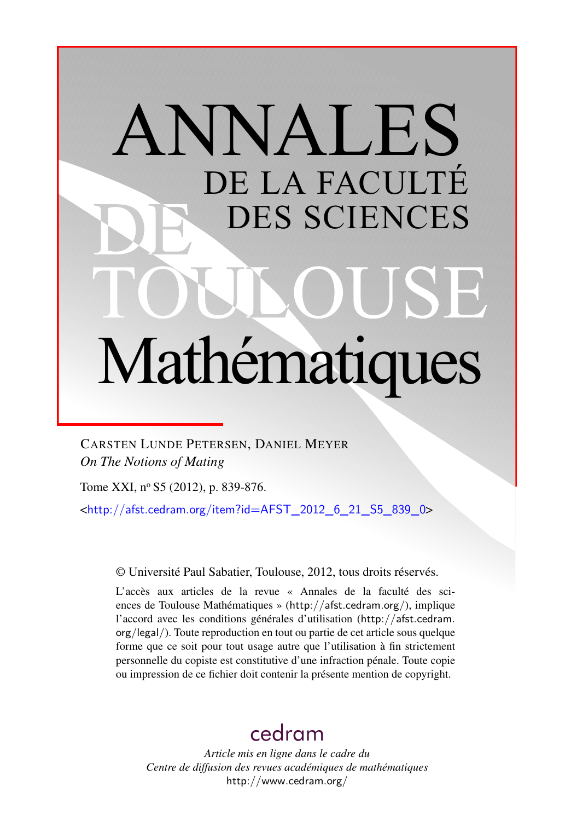# ANNALES DE LA FACULTÉ DES SCIENCES Mathématiques

CARSTEN LUNDE PETERSEN, DANIEL MEYER *On The Notions of Mating*

Tome XXI, nº S5 (2012), p. 839-876.

<[http://afst.cedram.org/item?id=AFST\\_2012\\_6\\_21\\_S5\\_839\\_0](http://afst.cedram.org/item?id=AFST_2012_6_21_S5_839_0)>

© Université Paul Sabatier, Toulouse, 2012, tous droits réservés.

L'accès aux articles de la revue « Annales de la faculté des sciences de Toulouse Mathématiques » (<http://afst.cedram.org/>), implique l'accord avec les conditions générales d'utilisation ([http://afst.cedram.](http://afst.cedram.org/legal/) [org/legal/](http://afst.cedram.org/legal/)). Toute reproduction en tout ou partie de cet article sous quelque forme que ce soit pour tout usage autre que l'utilisation à fin strictement personnelle du copiste est constitutive d'une infraction pénale. Toute copie ou impression de ce fichier doit contenir la présente mention de copyright.

# [cedram](http://www.cedram.org/)

*Article mis en ligne dans le cadre du Centre de diffusion des revues académiques de mathématiques* <http://www.cedram.org/>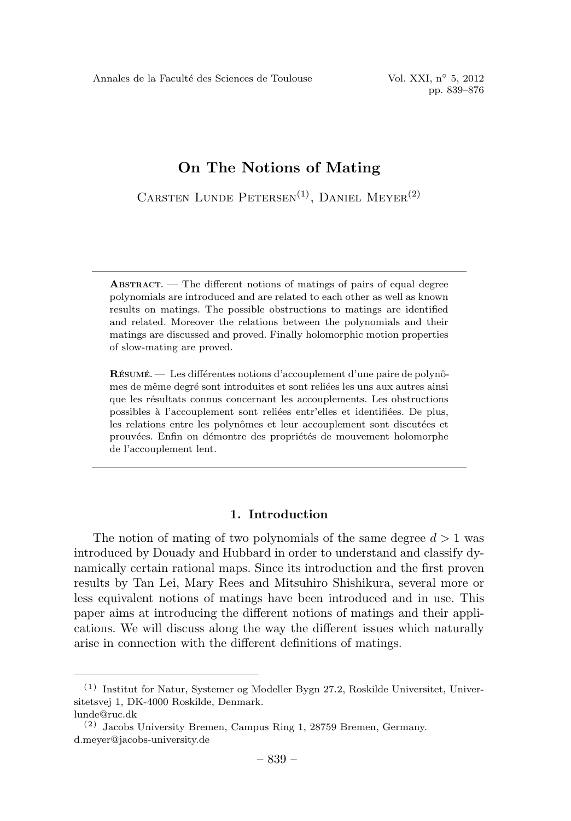CARSTEN LUNDE PETERSEN<sup>(1)</sup>, DANIEL MEYER<sup>(2)</sup>

ABSTRACT. — The different notions of matings of pairs of equal degree polynomials are introduced and are related to each other as well as known results on matings. The possible obstructions to matings are identified and related. Moreover the relations between the polynomials and their matings are discussed and proved. Finally holomorphic motion properties of slow-mating are proved.

RÉSUMÉ. — Les différentes notions d'accouplement d'une paire de polynômes de même degré sont introduites et sont reliées les uns aux autres ainsi que les r´esultats connus concernant les accouplements. Les obstructions possibles à l'accouplement sont reliées entr'elles et identifiées. De plus, les relations entre les polynômes et leur accouplement sont discutées et prouvées. Enfin on démontre des propriétés de mouvement holomorphe de l'accouplement lent.

# 1. Introduction

The notion of mating of two polynomials of the same degree  $d > 1$  was introduced by Douady and Hubbard in order to understand and classify dynamically certain rational maps. Since its introduction and the first proven results by Tan Lei, Mary Rees and Mitsuhiro Shishikura, several more or less equivalent notions of matings have been introduced and in use. This paper aims at introducing the different notions of matings and their applications. We will discuss along the way the different issues which naturally arise in connection with the different definitions of matings.

<sup>(1)</sup> Institut for Natur, Systemer og Modeller Bygn 27.2, Roskilde Universitet, Universitetsvej 1, DK-4000 Roskilde, Denmark.

lunde@ruc.dk

<sup>(2)</sup> Jacobs University Bremen, Campus Ring 1, 28759 Bremen, Germany. d.meyer@jacobs-university.de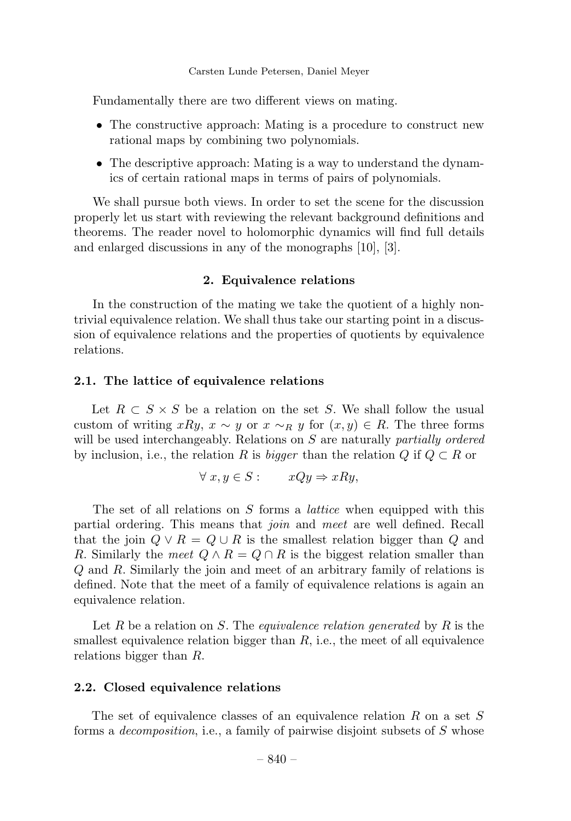Fundamentally there are two different views on mating.

- The constructive approach: Mating is a procedure to construct new rational maps by combining two polynomials.
- The descriptive approach: Mating is a way to understand the dynamics of certain rational maps in terms of pairs of polynomials.

We shall pursue both views. In order to set the scene for the discussion properly let us start with reviewing the relevant background definitions and theorems. The reader novel to holomorphic dynamics will find full details and enlarged discussions in any of the monographs [10], [3].

# 2. Equivalence relations

In the construction of the mating we take the quotient of a highly nontrivial equivalence relation. We shall thus take our starting point in a discussion of equivalence relations and the properties of quotients by equivalence relations.

# 2.1. The lattice of equivalence relations

Let  $R \subset S \times S$  be a relation on the set S. We shall follow the usual custom of writing xRy,  $x \sim y$  or  $x \sim_R y$  for  $(x, y) \in R$ . The three forms will be used interchangeably. Relations on  $S$  are naturally *partially ordered* by inclusion, i.e., the relation R is bigger than the relation Q if  $Q \subset R$  or

$$
\forall x, y \in S: \qquad xQy \Rightarrow xRy,
$$

The set of all relations on S forms a *lattice* when equipped with this partial ordering. This means that join and meet are well defined. Recall that the join  $Q \vee R = Q \cup R$  is the smallest relation bigger than Q and R. Similarly the meet  $Q \wedge R = Q \cap R$  is the biggest relation smaller than Q and R. Similarly the join and meet of an arbitrary family of relations is defined. Note that the meet of a family of equivalence relations is again an equivalence relation.

Let R be a relation on S. The equivalence relation generated by R is the smallest equivalence relation bigger than  $R$ , i.e., the meet of all equivalence relations bigger than R.

#### 2.2. Closed equivalence relations

The set of equivalence classes of an equivalence relation R on a set S forms a *decomposition*, i.e., a family of pairwise disjoint subsets of  $S$  whose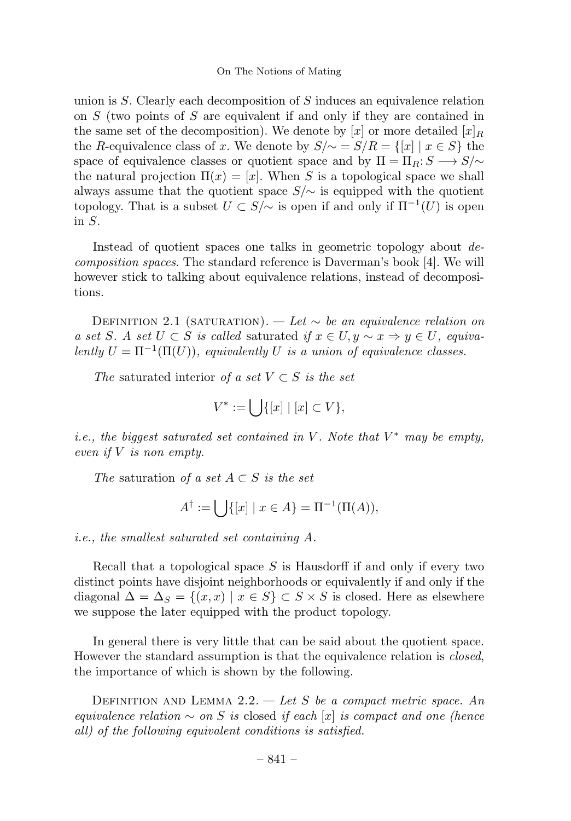union is  $S$ . Clearly each decomposition of  $S$  induces an equivalence relation on S (two points of S are equivalent if and only if they are contained in the same set of the decomposition). We denote by [x] or more detailed  $[x]_R$ the R-equivalence class of x. We denote by  $S/\sim = S/R = \{[x] | x \in S\}$  the space of equivalence classes or quotient space and by  $\Pi = \Pi_R: S \longrightarrow S/\sim$ the natural projection  $\Pi(x)=[x]$ . When S is a topological space we shall always assume that the quotient space  $S/\sim$  is equipped with the quotient topology. That is a subset  $U \subset S/\sim$  is open if and only if  $\Pi^{-1}(U)$  is open in S.

Instead of quotient spaces one talks in geometric topology about decomposition spaces. The standard reference is Daverman's book [4]. We will however stick to talking about equivalence relations, instead of decompositions.

DEFINITION 2.1 (SATURATION). — Let  $\sim$  be an equivalence relation on a set S. A set  $U \subset S$  is called saturated if  $x \in U, y \sim x \Rightarrow y \in U$ , equivalently  $U = \Pi^{-1}(\Pi(U))$ , equivalently U is a union of equivalence classes.

The saturated interior of a set  $V \subset S$  is the set

$$
V^* := \bigcup \{ [x] \mid [x] \subset V \},
$$

i.e., the biggest saturated set contained in V. Note that  $V^*$  may be empty, even if  $V$  is non empty.

The saturation of a set  $A \subset S$  is the set

$$
A^{\dagger} := \bigcup \{ [x] \mid x \in A \} = \Pi^{-1}(\Pi(A)),
$$

i.e., the smallest saturated set containing A.

Recall that a topological space  $S$  is Hausdorff if and only if every two distinct points have disjoint neighborhoods or equivalently if and only if the diagonal  $\Delta = \Delta_S = \{(x, x) \mid x \in S\} \subset S \times S$  is closed. Here as elsewhere we suppose the later equipped with the product topology.

In general there is very little that can be said about the quotient space. However the standard assumption is that the equivalence relation is *closed*, the importance of which is shown by the following.

DEFINITION AND LEMMA 2.2. — Let S be a compact metric space. An equivalence relation  $\sim$  on S is closed if each [x] is compact and one (hence all) of the following equivalent conditions is satisfied.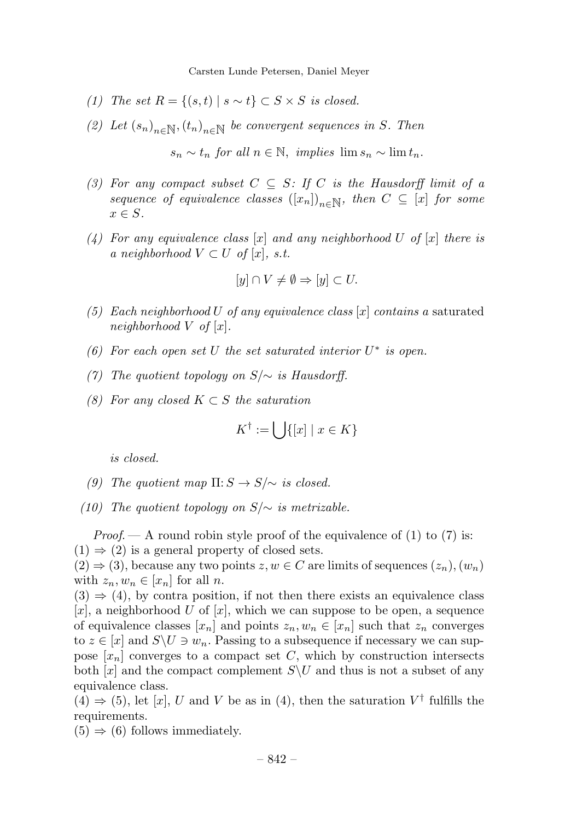- (1) The set  $R = \{(s, t) | s \sim t\} \subset S \times S$  is closed.
- (2) Let  $(s_n)_{n\in\mathbb{N}},(t_n)_{n\in\mathbb{N}}$  be convergent sequences in S. Then

 $s_n \sim t_n$  for all  $n \in \mathbb{N}$ , implies  $\lim s_n \sim \lim t_n$ .

- (3) For any compact subset  $C \subseteq S$ : If C is the Hausdorff limit of a sequence of equivalence classes  $([x_n])_{n\in\mathbb{N}}$ , then  $C \subseteq [x]$  for some  $x \in S$ .
- (4) For any equivalence class  $[x]$  and any neighborhood U of  $[x]$  there is a neighborhood  $V \subset U$  of  $[x]$ , s.t.

$$
[y] \cap V \neq \emptyset \Rightarrow [y] \subset U.
$$

- (5) Each neighborhood U of any equivalence class  $[x]$  contains a saturated neighborhood  $V$  of  $[x]$ .
- (6) For each open set U the set saturated interior  $U^*$  is open.
- (7) The quotient topology on  $S/\sim$  is Hausdorff.
- (8) For any closed  $K \subset S$  the saturation

$$
K^\dagger := \bigcup \{ [x] \mid x \in K \}
$$

is closed.

- (9) The quotient map  $\Pi: S \to S/\sim$  is closed.
- (10) The quotient topology on  $S/\sim$  is metrizable.

*Proof.*  $\rightarrow$  A round robin style proof of the equivalence of (1) to (7) is:  $(1) \Rightarrow (2)$  is a general property of closed sets.

 $(2) \Rightarrow (3)$ , because any two points  $z, w \in C$  are limits of sequences  $(z_n), (w_n)$ with  $z_n, w_n \in [x_n]$  for all n.

 $(3) \Rightarrow (4)$ , by contra position, if not then there exists an equivalence class [x], a neighborhood U of [x], which we can suppose to be open, a sequence of equivalence classes  $[x_n]$  and points  $z_n, w_n \in [x_n]$  such that  $z_n$  converges to  $z \in [x]$  and  $S \backslash U \ni w_n$ . Passing to a subsequence if necessary we can suppose  $[x_n]$  converges to a compact set C, which by construction intersects both  $[x]$  and the compact complement  $S\setminus U$  and thus is not a subset of any equivalence class.

(4)  $\Rightarrow$  (5), let [x], U and V be as in (4), then the saturation V<sup>†</sup> fulfills the requirements.

 $(5) \Rightarrow (6)$  follows immediately.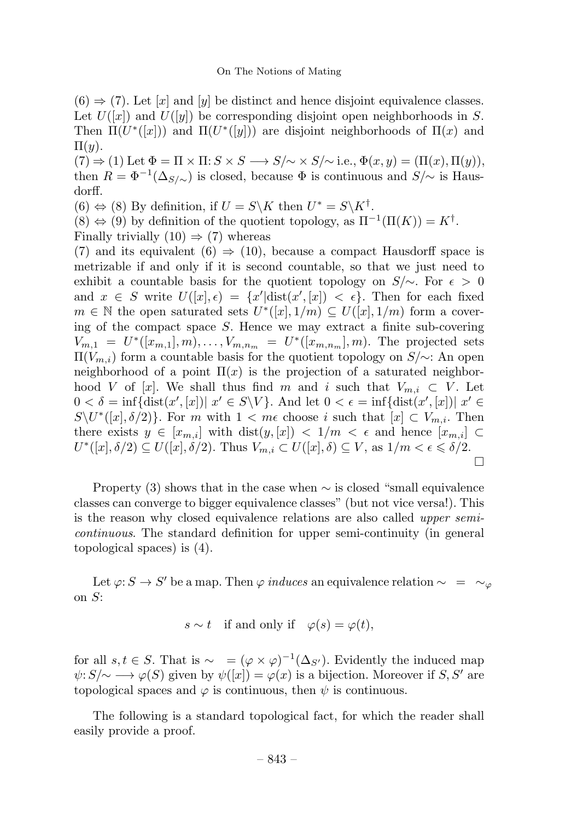$(6) \Rightarrow (7)$ . Let [x] and [y] be distinct and hence disjoint equivalence classes. Let  $U([x])$  and  $U([y])$  be corresponding disjoint open neighborhoods in S. Then  $\Pi(U^*([x]))$  and  $\Pi(U^*([y]))$  are disjoint neighborhoods of  $\Pi(x)$  and  $\Pi(y)$ .

 $(7) \Rightarrow (1)$  Let  $\Phi = \Pi \times \Pi : S \times S \longrightarrow S/\sim \times S/\sim$  i.e.,  $\Phi(x, y) = (\Pi(x), \Pi(y)),$ then  $R = \Phi^{-1}(\Delta_{S/\sim})$  is closed, because  $\Phi$  is continuous and  $S/\sim$  is Hausdorff.

 $(6) \Leftrightarrow (8)$  By definition, if  $U = S\backslash K$  then  $U^* = S\backslash K^{\dagger}$ .

 $(8) \Leftrightarrow (9)$  by definition of the quotient topology, as  $\Pi^{-1}(\Pi(K)) = K^{\dagger}$ .

Finally trivially  $(10) \Rightarrow (7)$  whereas

(7) and its equivalent (6)  $\Rightarrow$  (10), because a compact Hausdorff space is metrizable if and only if it is second countable, so that we just need to exhibit a countable basis for the quotient topology on  $S/\sim$ . For  $\epsilon > 0$ and  $x \in S$  write  $U([x], \epsilon) = \{x' | \text{dist}(x', [x]) < \epsilon\}.$  Then for each fixed  $m \in \mathbb{N}$  the open saturated sets  $U^*([x], 1/m) \subseteq U([x], 1/m)$  form a covering of the compact space S. Hence we may extract a finite sub-covering  $V_{m,1} = U^*([x_{m,1}], m), \ldots, V_{m,n_m} = U^*([x_{m,n_m}], m)$ . The projected sets  $\Pi(V_{m,i})$  form a countable basis for the quotient topology on  $S/\sim$ : An open neighborhood of a point  $\Pi(x)$  is the projection of a saturated neighborhood V of [x]. We shall thus find m and i such that  $V_{m,i} \subset V$ . Let  $0 < \delta = \inf \{ \text{dist}(x', [x]) | x' \in S \backslash V \}.$  And let  $0 < \epsilon = \inf \{ \text{dist}(x', [x]) | x' \in S \backslash V \}.$  $S\setminus U^*([x], \delta/2)$ . For m with  $1 < m\epsilon$  choose i such that  $[x] \subset V_{m,i}$ . Then there exists  $y \in [x_{m,i}]$  with  $dist(y,[x]) < 1/m < \epsilon$  and hence  $[x_{m,i}] \subset$  $U^*([x], \delta/2) \subseteq U([x], \delta/2)$ . Thus  $V_{m,i} \subset U([x], \delta) \subseteq V$ , as  $1/m < \epsilon \leq \delta/2$ .  $\Box$ 

Property (3) shows that in the case when  $\sim$  is closed "small equivalence" classes can converge to bigger equivalence classes" (but not vice versa!). This is the reason why closed equivalence relations are also called upper semicontinuous. The standard definition for upper semi-continuity (in general topological spaces) is (4).

Let  $\varphi: S \to S'$  be a map. Then  $\varphi$  induces an equivalence relation  $\sim = \sim_{\varphi}$ on S:

$$
s \sim t \quad \text{if and only if} \quad \varphi(s) = \varphi(t),
$$

for all  $s, t \in S$ . That is  $\sim = (\varphi \times \varphi)^{-1}(\Delta_{S'})$ . Evidently the induced map  $\psi: S/\sim \longrightarrow \varphi(S)$  given by  $\psi([x]) = \varphi(x)$  is a bijection. Moreover if S, S' are topological spaces and  $\varphi$  is continuous, then  $\psi$  is continuous.

The following is a standard topological fact, for which the reader shall easily provide a proof.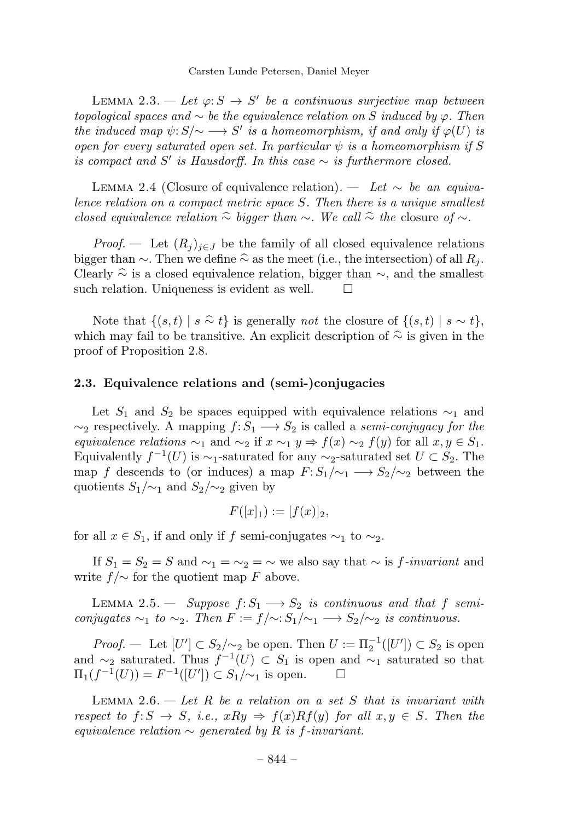LEMMA 2.3. — Let  $\varphi: S \to S'$  be a continuous surjective map between topological spaces and  $\sim$  be the equivalence relation on S induced by  $\varphi$ . Then the induced map  $\psi: S/\sim \longrightarrow S'$  is a homeomorphism, if and only if  $\varphi(U)$  is open for every saturated open set. In particular  $\psi$  is a homeomorphism if S is compact and S' is Hausdorff. In this case  $\sim$  is furthermore closed.

LEMMA 2.4 (Closure of equivalence relation). — Let  $\sim$  be an equivalence relation on a compact metric space S. Then there is a unique smallest closed equivalence relation  $\hat{\sim}$  bigger than  $\sim$ . We call  $\hat{\sim}$  the closure of  $\sim$ .

*Proof.* — Let  $(R_j)_{j\in J}$  be the family of all closed equivalence relations bigger than  $\sim$ . Then we define  $\hat{\sim}$  as the meet (i.e., the intersection) of all  $R_j$ . Clearly  $\hat{\sim}$  is a closed equivalence relation, bigger than  $\sim$ , and the smallest such relation. Uniqueness is evident as well.  $\Box$ such relation. Uniqueness is evident as well.

Note that  $\{(s,t) \mid s \stackrel{\frown}{\sim} t\}$  is generally *not* the closure of  $\{(s,t) \mid s \sim t\}$ , which may fail to be transitive. An explicit description of  $\hat{\sim}$  is given in the proof of Proposition 2.8.

#### 2.3. Equivalence relations and (semi-)conjugacies

Let  $S_1$  and  $S_2$  be spaces equipped with equivalence relations  $\sim_1$  and  $\sim_2$  respectively. A mapping  $f: S_1 \longrightarrow S_2$  is called a semi-conjugacy for the equivalence relations  $\sim_1$  and  $\sim_2$  if  $x \sim_1 y \Rightarrow f(x) \sim_2 f(y)$  for all  $x, y \in S_1$ . Equivalently  $f^{-1}(U)$  is  $\sim_1$ -saturated for any  $\sim_2$ -saturated set  $U \subset S_2$ . The map f descends to (or induces) a map  $F: S_1/\sim_1 \longrightarrow S_2/\sim_2$  between the quotients  $S_1/\sim_1$  and  $S_2/\sim_2$  given by

$$
F([x]_1) := [f(x)]_2,
$$

for all  $x \in S_1$ , if and only if f semi-conjugates  $\sim_1$  to  $\sim_2$ .

If  $S_1 = S_2 = S$  and  $\sim_1 = \sim_2 = \sim$  we also say that  $\sim$  is f-invariant and write  $f/\sim$  for the quotient map F above.

LEMMA 2.5. — Suppose  $f: S_1 \longrightarrow S_2$  is continuous and that f semiconjugates  $\sim_1$  to  $\sim_2$ . Then  $F := f/\sim: S_1/\sim_1 \longrightarrow S_2/\sim_2$  is continuous.

*Proof.* — Let  $[U'] \subset S_2/\sim_2$  be open. Then  $U := \Pi_2^{-1}([U']) \subset S_2$  is open and ∼<sub>2</sub> saturated. Thus  $f^{-1}(U) \subset S_1$  is open and ∼<sub>1</sub> saturated so that  $\Pi_1(f^{-1}(U)) = F^{-1}([U']) \subset S_1/\sim_1$  is open.  $\Pi_1(f^{-1}(U)) = F^{-1}([U']) \subset S_1/\sim_1$  is open.  $□$ 

LEMMA 2.6.  $-$  Let R be a relation on a set S that is invariant with respect to  $f: S \to S$ , i.e.,  $xRy \Rightarrow f(x)Rf(y)$  for all  $x, y \in S$ . Then the equivalence relation  $\sim$  generated by R is f-invariant.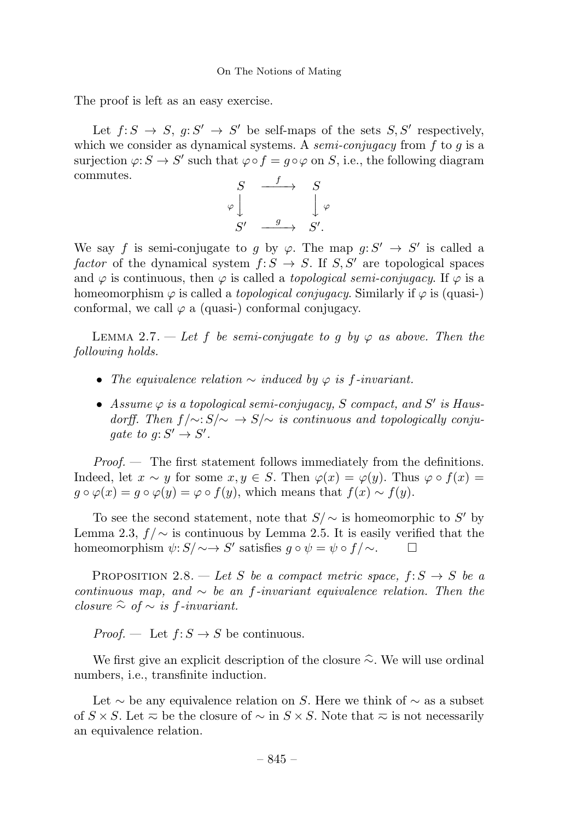The proof is left as an easy exercise.

Let  $f: S \to S$ ,  $g: S' \to S'$  be self-maps of the sets  $S, S'$  respectively, which we consider as dynamical systems. A *semi-conjugacy* from  $f$  to  $g$  is a surjection  $\varphi: S \to S'$  such that  $\varphi \circ f = g \circ \varphi$  on S, i.e., the following diagram commutes.



We say f is semi-conjugate to g by  $\varphi$ . The map  $g: S' \to S'$  is called a factor of the dynamical system  $f: S \to S$ . If  $S, S'$  are topological spaces and  $\varphi$  is continuous, then  $\varphi$  is called a *topological semi-conjugacy*. If  $\varphi$  is a homeomorphism  $\varphi$  is called a *topological conjugacy*. Similarly if  $\varphi$  is (quasi-) conformal, we call  $\varphi$  a (quasi-) conformal conjugacy.

LEMMA 2.7. — Let f be semi-conjugate to g by  $\varphi$  as above. Then the following holds.

- The equivalence relation  $\sim$  induced by  $\varphi$  is f-invariant.
- Assume  $\varphi$  is a topological semi-conjugacy, S compact, and S' is Hausdorff. Then  $f/\sim: S/\sim \rightarrow S/\sim$  is continuous and topologically conjugate to  $g: S' \to S'$ .

*Proof.*  $\,\,\,\,\,\,\,\,\,$  The first statement follows immediately from the definitions. Indeed, let  $x \sim y$  for some  $x, y \in S$ . Then  $\varphi(x) = \varphi(y)$ . Thus  $\varphi \circ f(x) =$  $g \circ \varphi(x) = g \circ \varphi(y) = \varphi \circ f(y)$ , which means that  $f(x) \sim f(y)$ .

To see the second statement, note that  $S/\sim$  is homeomorphic to S' by Lemma 2.3,  $f/\sim$  is continuous by Lemma 2.5. It is easily verified that the homeomorphism  $\psi: S/\sim\to S'$  satisfies  $g \circ \psi = \psi \circ f/\sim$ . homeomorphism  $\psi: S/\sim\to S'$  satisfies  $g \circ \psi = \psi \circ f/\sim$ .

PROPOSITION 2.8. — Let S be a compact metric space,  $f: S \rightarrow S$  be a continuous map, and  $\sim$  be an f-invariant equivalence relation. Then the closure  $\hat{\sim}$  of  $\sim$  is f-invariant.

*Proof.* — Let  $f: S \to S$  be continuous.

We first give an explicit description of the closure <sup>∼</sup>. We will use ordinal numbers, i.e., transfinite induction.

Let  $\sim$  be any equivalence relation on S. Here we think of  $\sim$  as a subset of  $S \times S$ . Let  $\bar{\sim}$  be the closure of  $\sim$  in  $S \times S$ . Note that  $\bar{\sim}$  is not necessarily an equivalence relation.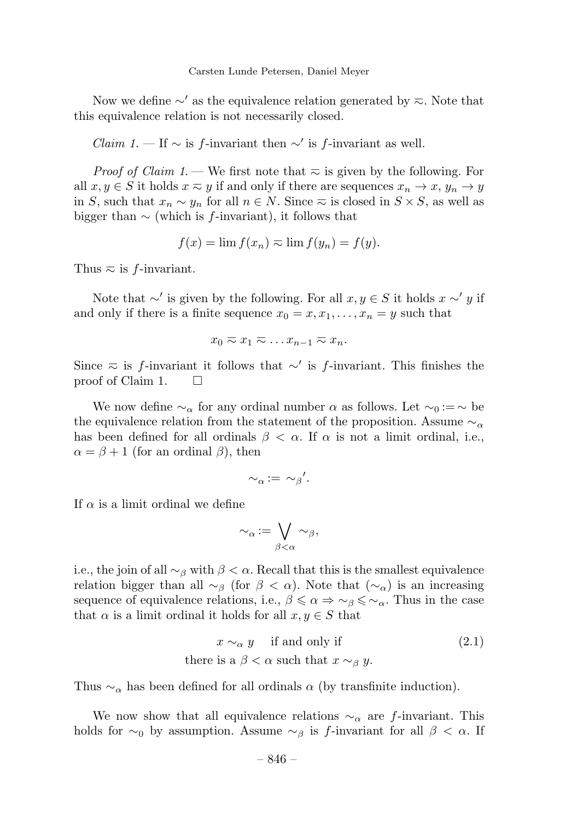Now we define  $\sim'$  as the equivalence relation generated by  $\approx$ . Note that this equivalence relation is not necessarily closed.

*Claim 1.* — If  $\sim$  is f-invariant then  $\sim'$  is f-invariant as well.

*Proof of Claim 1*. — We first note that  $\bar{\sim}$  is given by the following. For all  $x, y \in S$  it holds  $x \approx y$  if and only if there are sequences  $x_n \to x$ ,  $y_n \to y$ in S, such that  $x_n \sim y_n$  for all  $n \in N$ . Since  $\infty$  is closed in  $S \times S$ , as well as bigger than  $\sim$  (which is f-invariant), it follows that

$$
f(x) = \lim f(x_n) \approx \lim f(y_n) = f(y).
$$

Thus  $\overline{\sim}$  is f-invariant.

Note that  $\sim'$  is given by the following. For all  $x, y \in S$  it holds  $x \sim' y$  if and only if there is a finite sequence  $x_0 = x, x_1, \ldots, x_n = y$  such that

$$
x_0 \gtrsim x_1 \gtrsim \ldots x_{n-1} \gtrsim x_n.
$$

Since  $\approx$  is f-invariant it follows that ∼' is f-invariant. This finishes the proof of Claim 1.  $\Box$ 

We now define  $\sim_\alpha$  for any ordinal number  $\alpha$  as follows. Let  $\sim_0 := \sim$  be the equivalence relation from the statement of the proposition. Assume  $\sim_{\alpha}$ has been defined for all ordinals  $\beta < \alpha$ . If  $\alpha$  is not a limit ordinal, i.e.,  $\alpha = \beta + 1$  (for an ordinal  $\beta$ ), then

$$
\sim_\alpha := \sim_\beta'.
$$

If  $\alpha$  is a limit ordinal we define

$$
\sim_\alpha := \bigvee_{\beta < \alpha} \sim_\beta,
$$

i.e., the join of all  $\sim_\beta$  with  $\beta < \alpha$ . Recall that this is the smallest equivalence relation bigger than all  $\sim_\beta$  (for  $\beta < \alpha$ ). Note that  $(\sim_\alpha)$  is an increasing sequence of equivalence relations, i.e.,  $\beta \leq \alpha \Rightarrow \sim_{\beta} \leq \sim_{\alpha}$ . Thus in the case that  $\alpha$  is a limit ordinal it holds for all  $x, y \in S$  that

$$
x \sim_{\alpha} y \quad \text{if and only if} \tag{2.1}
$$
  
there is a  $\beta < \alpha$  such that  $x \sim_{\beta} y$ .

Thus  $\sim_{\alpha}$  has been defined for all ordinals  $\alpha$  (by transfinite induction).

We now show that all equivalence relations  $\sim_\alpha$  are f-invariant. This holds for  $\sim_0$  by assumption. Assume  $\sim_\beta$  is f-invariant for all  $\beta < \alpha$ . If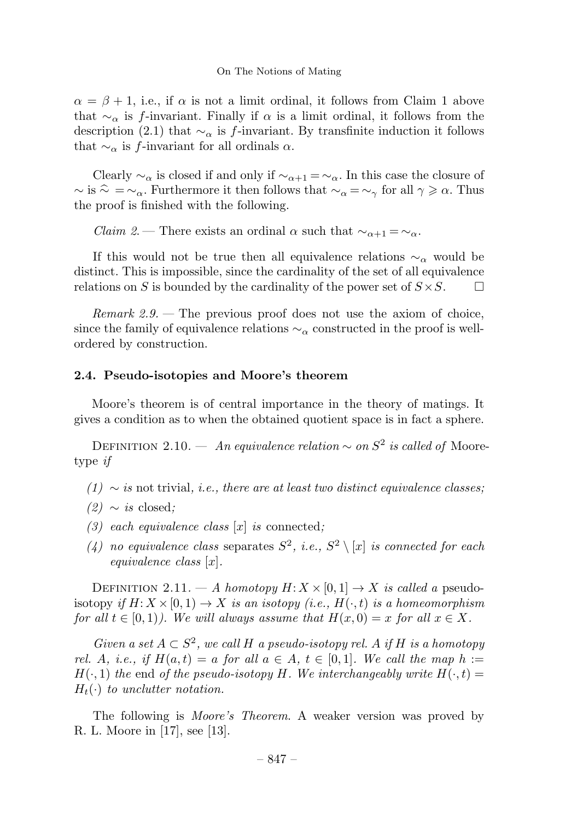$\alpha = \beta + 1$ , i.e., if  $\alpha$  is not a limit ordinal, it follows from Claim 1 above that  $\sim_{\alpha}$  is f-invariant. Finally if  $\alpha$  is a limit ordinal, it follows from the description (2.1) that  $\sim_{\alpha}$  is f-invariant. By transfinite induction it follows that  $\sim_{\alpha}$  is f-invariant for all ordinals  $\alpha$ .

Clearly  $\sim_\alpha$  is closed if and only if  $\sim_{\alpha+1} = \sim_\alpha$ . In this case the closure of  $\sim$  is  $\hat{\sim} = \sim_{\alpha}$ . Furthermore it then follows that  $\sim_{\alpha} = \sim_{\gamma}$  for all  $\gamma \geq \alpha$ . Thus the proof is finished with the following.

*Claim 2.* — There exists an ordinal  $\alpha$  such that  $\sim_{\alpha+1} = \sim_{\alpha}$ .

If this would not be true then all equivalence relations  $\sim_{\alpha}$  would be distinct. This is impossible, since the cardinality of the set of all equivalence relations on S is bounded by the cardinality of the power set of  $S \times S$ .

Remark  $2.9$ . – The previous proof does not use the axiom of choice, since the family of equivalence relations  $\sim_{\alpha}$  constructed in the proof is wellordered by construction.

# 2.4. Pseudo-isotopies and Moore's theorem

Moore's theorem is of central importance in the theory of matings. It gives a condition as to when the obtained quotient space is in fact a sphere.

DEFINITION 2.10. — An equivalence relation  $\sim$  on  $S^2$  is called of Mooretype if

- $(1) \sim$  is not trivial, i.e., there are at least two distinct equivalence classes;
- $(2) \sim i s$  closed;
- (3) each equivalence class  $[x]$  is connected;
- (4) no equivalence class separates  $S^2$ , i.e.,  $S^2 \setminus [x]$  is connected for each equivalence class [x].

DEFINITION 2.11. — A homotopy  $H: X \times [0,1] \rightarrow X$  is called a pseudoisotopy if  $H: X \times [0, 1) \to X$  is an isotopy (i.e.,  $H(\cdot, t)$  is a homeomorphism for all  $t \in [0,1)$ ). We will always assume that  $H(x, 0) = x$  for all  $x \in X$ .

Given a set  $A \subset S^2$ , we call H a pseudo-isotopy rel. A if H is a homotopy rel. A, i.e., if  $H(a,t) = a$  for all  $a \in A$ ,  $t \in [0,1]$ . We call the map  $h :=$  $H(\cdot, 1)$  the end of the pseudo-isotopy H. We interchangeably write  $H(\cdot, t) =$  $H_t(\cdot)$  to unclutter notation.

The following is Moore's Theorem. A weaker version was proved by R. L. Moore in  $[17]$ , see  $[13]$ .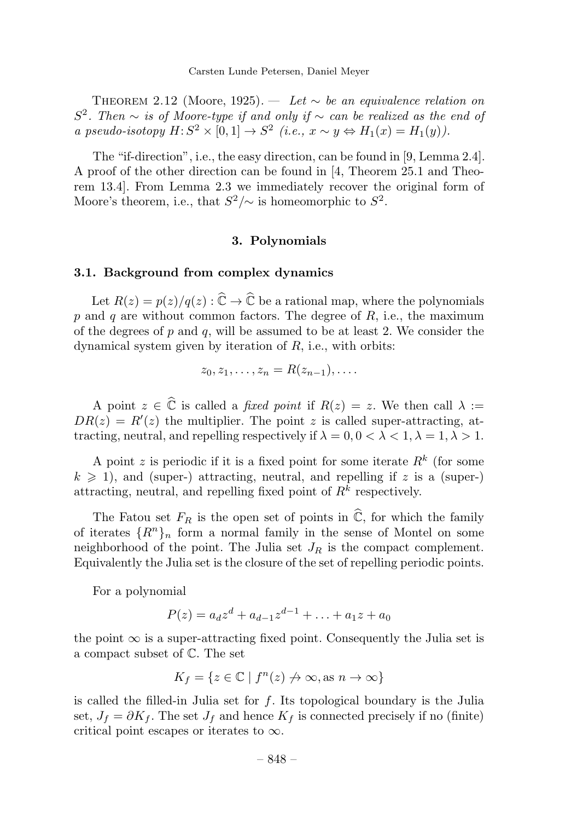THEOREM 2.12 (Moore, 1925). — Let  $\sim$  be an equivalence relation on S<sup>2</sup>. Then ∼ is of Moore-type if and only if ∼ can be realized as the end of a pseudo-isotopy  $H: S^2 \times [0, 1] \rightarrow S^2$  (i.e.,  $x \sim y \Leftrightarrow H_1(x) = H_1(y)$ ).

The "if-direction", i.e., the easy direction, can be found in [9, Lemma 2.4]. A proof of the other direction can be found in [4,Theorem 25.1 and Theorem 13.4]. From Lemma 2.3 we immediately recover the original form of Moore's theorem, i.e., that  $S^2/\sim$  is homeomorphic to  $S^2$ .

#### 3. Polynomials

#### 3.1. Background from complex dynamics

Let  $R(z) = p(z)/q(z) : \widehat{\mathbb{C}} \to \widehat{\mathbb{C}}$  be a rational map, where the polynomials p and q are without common factors. The degree of  $R$ , i.e., the maximum of the degrees of  $p$  and  $q$ , will be assumed to be at least 2. We consider the dynamical system given by iteration of  $R$ , i.e., with orbits:

$$
z_0, z_1, \ldots, z_n = R(z_{n-1}), \ldots
$$

A point  $z \in \widehat{\mathbb{C}}$  is called a *fixed point* if  $R(z) = z$ . We then call  $\lambda :=$  $DR(z) = R'(z)$  the multiplier. The point z is called super-attracting, attracting, neutral, and repelling respectively if  $\lambda = 0, 0 < \lambda < 1, \lambda = 1, \lambda > 1$ .

A point z is periodic if it is a fixed point for some iterate  $R^k$  (for some  $k \geq 1$ , and (super-) attracting, neutral, and repelling if z is a (super-) attracting, neutral, and repelling fixed point of  $R^k$  respectively.

The Fatou set  $F_R$  is the open set of points in  $\widehat{\mathbb{C}}$ , for which the family of iterates  $\{R^n\}_n$  form a normal family in the sense of Montel on some neighborhood of the point. The Julia set  $J_R$  is the compact complement. Equivalently the Julia set is the closure of the set of repelling periodic points.

For a polynomial

$$
P(z) = a_d z^d + a_{d-1} z^{d-1} + \ldots + a_1 z + a_0
$$

the point  $\infty$  is a super-attracting fixed point. Consequently the Julia set is a compact subset of C. The set

$$
K_f = \{ z \in \mathbb{C} \mid f^n(z) \not\to \infty, \text{as } n \to \infty \}
$$

is called the filled-in Julia set for  $f$ . Its topological boundary is the Julia set,  $J_f = \partial K_f$ . The set  $J_f$  and hence  $K_f$  is connected precisely if no (finite) critical point escapes or iterates to  $\infty$ .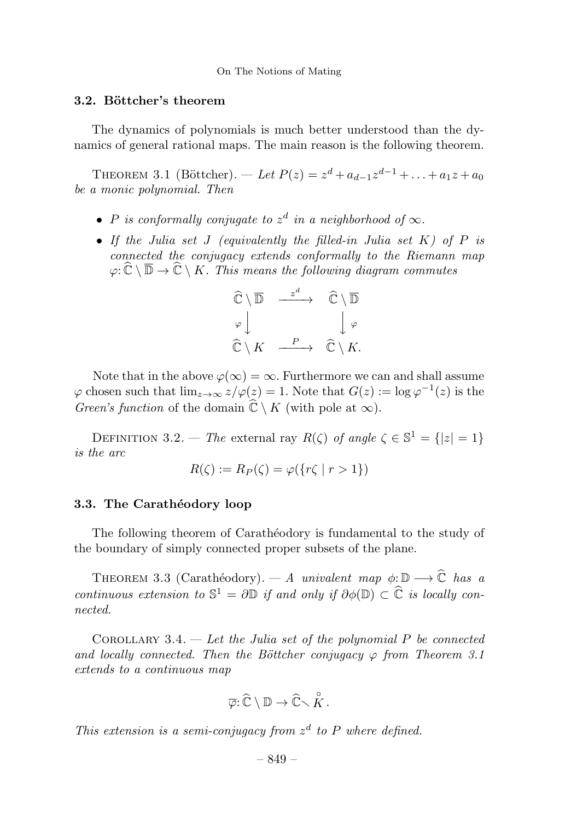# 3.2. Böttcher's theorem

The dynamics of polynomials is much better understood than the dynamics of general rational maps. The main reason is the following theorem.

THEOREM 3.1 (Böttcher). — Let  $P(z) = z^d + a_{d-1}z^{d-1} + ... + a_1z + a_0$ be a monic polynomial. Then

- P is conformally conjugate to  $z^d$  in a neighborhood of  $\infty$ .
- If the Julia set J (equivalently the filled-in Julia set  $K$ ) of  $P$  is connected the conjugacy extends conformally to the Riemann map  $\varphi: \widehat{\mathbb{C}} \setminus \overline{\mathbb{D}} \to \widehat{\mathbb{C}} \setminus K$ . This means the following diagram commutes

$$
\widehat{\mathbb{C}} \setminus \overline{\mathbb{D}} \xrightarrow{z^d} \widehat{\mathbb{C}} \setminus \overline{\mathbb{D}}
$$
\n
$$
\varphi \downarrow \qquad \qquad \downarrow \varphi
$$
\n
$$
\widehat{\mathbb{C}} \setminus K \xrightarrow{P} \widehat{\mathbb{C}} \setminus K.
$$

Note that in the above  $\varphi(\infty) = \infty$ . Furthermore we can and shall assume  $\varphi$  chosen such that  $\lim_{z\to\infty}z/\varphi(z)=1$ . Note that  $G(z):=\log \varphi^{-1}(z)$  is the *Green's function* of the domain  $\mathbb{C} \setminus K$  (with pole at  $\infty$ ).

DEFINITION 3.2. — The external ray  $R(\zeta)$  of angle  $\zeta \in \mathbb{S}^1 = \{|z| = 1\}$ is the arc

$$
R(\zeta) := R_P(\zeta) = \varphi(\{r\zeta \mid r > 1\})
$$

# 3.3. The Carathéodory loop

The following theorem of Carathéodory is fundamental to the study of the boundary of simply connected proper subsets of the plane.

THEOREM 3.3 (Carathéodory). — A univalent map  $\phi: \mathbb{D} \longrightarrow \widehat{\mathbb{C}}$  has a continuous extension to  $\mathbb{S}^1 = \partial \mathbb{D}$  if and only if  $\partial \phi(\mathbb{D}) \subset \widehat{\mathbb{C}}$  is locally connected.

COROLLARY 3.4. — Let the Julia set of the polynomial  $P$  be connected and locally connected. Then the Böttcher conjugacy  $\varphi$  from Theorem 3.1 extends to a continuous map

$$
\overline{\varphi} : \widehat{\mathbb{C}} \setminus \mathbb{D} \to \widehat{\mathbb{C}} \setminus \mathring{K}.
$$

This extension is a semi-conjugacy from  $z<sup>d</sup>$  to P where defined.

– 849 –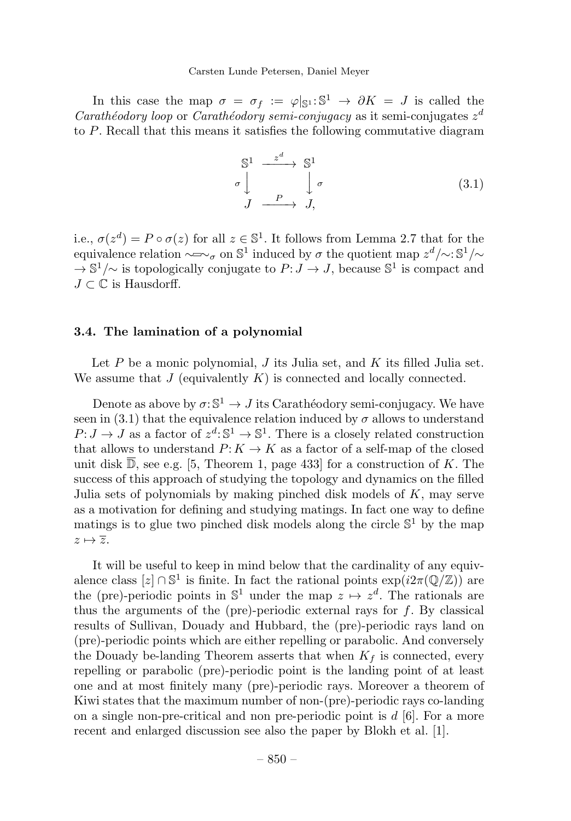In this case the map  $\sigma = \sigma_f := \varphi|_{\mathbb{S}^1} : \mathbb{S}^1 \to \partial K = J$  is called the Carathéodory loop or Carathéodory semi-conjugacy as it semi-conjugates  $z^d$ to P. Recall that this means it satisfies the following commutative diagram

$$
\begin{array}{ccc}\nS^1 & \xrightarrow{z^d} & S^1 \\
\sigma \downarrow & & \downarrow \sigma \\
J & \xrightarrow{P} & J,\n\end{array} \tag{3.1}
$$

i.e.,  $\sigma(z^d) = P \circ \sigma(z)$  for all  $z \in \mathbb{S}^1$ . It follows from Lemma 2.7 that for the equivalence relation  $\sim \sim_{\sigma}$  on S<sup>1</sup> induced by  $\sigma$  the quotient map  $z^d/\sim$ : S<sup>1</sup>/∼  $\rightarrow \mathbb{S}^1/\sim$  is topologically conjugate to  $P: J \rightarrow J$ , because  $\mathbb{S}^1$  is compact and  $J \subset \mathbb{C}$  is Hausdorff.

#### 3.4. The lamination of a polynomial

Let  $P$  be a monic polynomial,  $J$  its Julia set, and  $K$  its filled Julia set. We assume that  $J$  (equivalently  $K$ ) is connected and locally connected.

Denote as above by  $\sigma: \mathbb{S}^1 \to J$  its Carathéodory semi-conjugacy. We have seen in (3.1) that the equivalence relation induced by  $\sigma$  allows to understand  $P: J \to J$  as a factor of  $z^d: \mathbb{S}^1 \to \mathbb{S}^1$ . There is a closely related construction that allows to understand  $P: K \to K$  as a factor of a self-map of the closed unit disk  $\overline{\mathbb{D}}$ , see e.g. [5, Theorem 1, page 433] for a construction of K. The success of this approach of studying the topology and dynamics on the filled Julia sets of polynomials by making pinched disk models of  $K$ , may serve as a motivation for defining and studying matings. In fact one way to define matings is to glue two pinched disk models along the circle  $\mathbb{S}^1$  by the map  $z \mapsto \overline{z}$ .

It will be useful to keep in mind below that the cardinality of any equivalence class  $[z] \cap \mathbb{S}^1$  is finite. In fact the rational points  $\exp(i2\pi(\mathbb{Q}/\mathbb{Z}))$  are the (pre)-periodic points in  $\mathbb{S}^1$  under the map  $z \mapsto z^d$ . The rationals are thus the arguments of the (pre)-periodic external rays for  $f$ . By classical results of Sullivan, Douady and Hubbard, the (pre)-periodic rays land on (pre)-periodic points which are either repelling or parabolic. And conversely the Douady be-landing Theorem asserts that when  $K_f$  is connected, every repelling or parabolic (pre)-periodic point is the landing point of at least one and at most finitely many (pre)-periodic rays. Moreover a theorem of Kiwi states that the maximum number of non-(pre)-periodic rays co-landing on a single non-pre-critical and non pre-periodic point is  $d \, [6]$ . For a more recent and enlarged discussion see also the paper by Blokh et al. [1].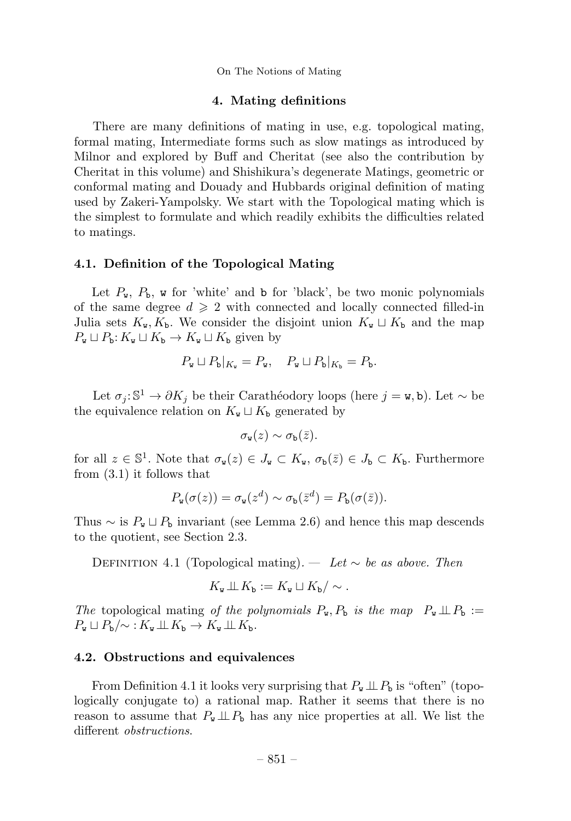#### 4. Mating definitions

There are many definitions of mating in use, e.g. topological mating, formal mating, Intermediate forms such as slow matings as introduced by Milnor and explored by Buff and Cheritat (see also the contribution by Cheritat in this volume) and Shishikura's degenerate Matings, geometric or conformal mating and Douady and Hubbards original definition of mating used by Zakeri-Yampolsky. We start with the Topological mating which is the simplest to formulate and which readily exhibits the difficulties related to matings.

# 4.1. Definition of the Topological Mating

Let  $P_w$ ,  $P_b$ , w for 'white' and b for 'black', be two monic polynomials of the same degree  $d \geqslant 2$  with connected and locally connected filled-in Julia sets  $K_{\mathbf{w}}, K_{\mathbf{b}}$ . We consider the disjoint union  $K_{\mathbf{w}} \sqcup K_{\mathbf{b}}$  and the map  $P_{\mathbf{w}} \sqcup P_{\mathbf{b}}: K_{\mathbf{w}} \sqcup K_{\mathbf{b}} \to K_{\mathbf{w}} \sqcup K_{\mathbf{b}}$  given by

$$
P_{\mathbf{w}} \sqcup P_{\mathbf{b}}|_{K_{\mathbf{w}}} = P_{\mathbf{w}}, \quad P_{\mathbf{w}} \sqcup P_{\mathbf{b}}|_{K_{\mathbf{b}}} = P_{\mathbf{b}}.
$$

Let  $\sigma_j: \mathbb{S}^1 \to \partial K_j$  be their Carathéodory loops (here  $j = \mathbf{w}, \mathbf{b}$ ). Let  $\sim$  be the equivalence relation on  $K_{\mathbf{w}} \sqcup K_{\mathbf{b}}$  generated by

$$
\sigma_{\mathbf{w}}(z) \sim \sigma_{\mathbf{b}}(\bar{z}).
$$

for all  $z \in \mathbb{S}^1$ . Note that  $\sigma_{\mathbf{w}}(z) \in J_{\mathbf{w}} \subset K_{\mathbf{w}}$ ,  $\sigma_{\mathbf{b}}(\bar{z}) \in J_{\mathbf{b}} \subset K_{\mathbf{b}}$ . Furthermore from (3.1) it follows that

$$
P_{\mathbf{w}}(\sigma(z)) = \sigma_{\mathbf{w}}(z^d) \sim \sigma_{\mathbf{b}}(\bar{z}^d) = P_{\mathbf{b}}(\sigma(\bar{z})).
$$

Thus  $\sim$  is  $P_{\rm w} \sqcup P_{\rm b}$  invariant (see Lemma 2.6) and hence this map descends to the quotient, see Section 2.3.

DEFINITION 4.1 (Topological mating). — Let  $\sim$  be as above. Then

$$
K_{\mathbf{w}} \perp \!\!\!\perp K_{\mathbf{b}} := K_{\mathbf{w}} \sqcup K_{\mathbf{b}} / \sim.
$$

The topological mating of the polynomials  $P_w, P_b$  is the map  $P_w \perp\!\!\!\perp P_b :=$  $P_{\mathbf{w}} \sqcup P_{\mathbf{b}}/\sim : K_{\mathbf{w}} \sqcup K_{\mathbf{b}} \rightarrow K_{\mathbf{w}} \sqcup K_{\mathbf{b}}.$ 

#### 4.2. Obstructions and equivalences

From Definition 4.1 it looks very surprising that  $P_w \perp P_b$  is "often" (topologically conjugate to) a rational map. Rather it seems that there is no reason to assume that  $P_{\mathbf{w}} \perp P_{\mathbf{b}}$  has any nice properties at all. We list the different obstructions.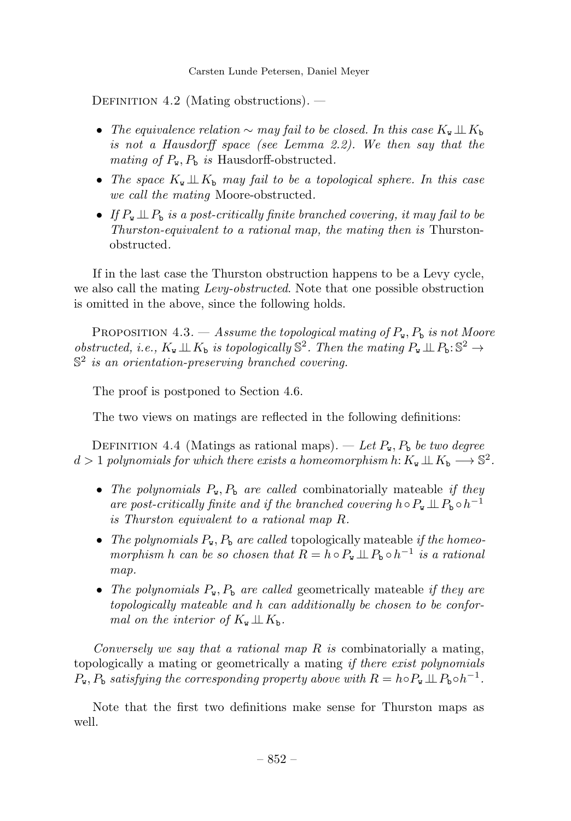DEFINITION 4.2 (Mating obstructions).  $-$ 

- The equivalence relation  $\sim$  may fail to be closed. In this case  $K_{\mathbf{w}} \perp \perp K_{\mathbf{b}}$ is not a Hausdorff space (see Lemma 2.2). We then say that the mating of  $P_{\tt w}$ ,  $P_{\tt b}$  is Hausdorff-obstructed.
- The space  $K_{\mathbf{w}} \perp\!\!\!\perp K_{\mathbf{b}}$  may fail to be a topological sphere. In this case we call the mating Moore-obstructed.
- If  $P_w \perp\!\!\!\perp P_b$  is a post-critically finite branched covering, it may fail to be Thurston-equivalent to a rational map, the mating then is Thurstonobstructed.

If in the last case the Thurston obstruction happens to be a Levy cycle, we also call the mating Levy-obstructed. Note that one possible obstruction is omitted in the above, since the following holds.

PROPOSITION 4.3. — Assume the topological mating of  $P_{\mathbf{w}}$ ,  $P_{\mathbf{b}}$  is not Moore obstructed, i.e.,  $K_{\mathbf{w}} \perp\!\!\!\perp K_{\mathbf{b}}$  is topologically  $\mathbb{S}^2$ . Then the mating  $P_{\mathbf{w}} \perp\!\!\!\perp P_{\mathbf{b}}: \mathbb{S}^2 \to$  $\mathbb{S}^2$  is an orientation-preserving branched covering.

The proof is postponed to Section 4.6.

The two views on matings are reflected in the following definitions:

DEFINITION 4.4 (Matings as rational maps). — Let  $P_{\mathbf{w}}$ ,  $P_{\mathbf{b}}$  be two degree  $d > 1$  polynomials for which there exists a homeomorphism h:  $K_w \perp K_b \longrightarrow \mathbb{S}^2$ .

- The polynomials  $P_{\rm w}$ ,  $P_{\rm b}$  are called combinatorially mateable if they are post-critically finite and if the branched covering  $h \circ P_w \perp\!\!\!\perp P_b \circ h^{-1}$ is Thurston equivalent to a rational map R.
- The polynomials  $P_{\mathbf{w}}, P_{\mathbf{b}}$  are called topologically mateable if the homeomorphism h can be so chosen that  $R = h \circ P_w \perp\!\!\!\perp P_b \circ h^{-1}$  is a rational map.
- The polynomials  $P_{\mathbf{w}}, P_{\mathbf{b}}$  are called geometrically mateable if they are topologically mateable and h can additionally be chosen to be conformal on the interior of  $K_{\mathbf{w}} \perp \!\!\! \perp K_{\mathbf{b}}$ .

Conversely we say that a rational map  $R$  is combinatorially a mating, topologically a mating or geometrically a mating *if there exist polynomials*  $P_{\rm w}$ ,  $P_{\rm b}$  satisfying the corresponding property above with  $R = h \circ P_{\rm w} \perp P_{\rm b} \circ h^{-1}$ .

Note that the first two definitions make sense for Thurston maps as well.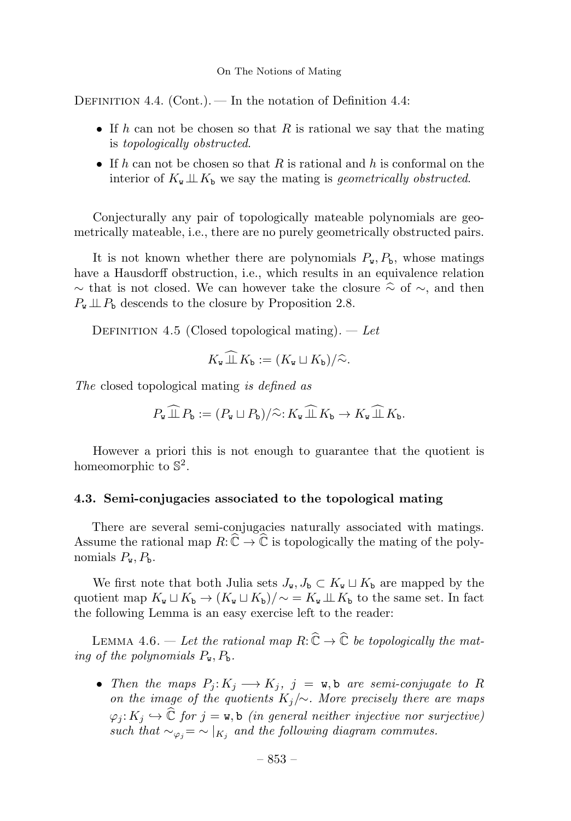DEFINITION 4.4. (Cont.). — In the notation of Definition 4.4:

- If h can not be chosen so that R is rational we say that the mating is topologically obstructed.
- If h can not be chosen so that R is rational and h is conformal on the interior of  $K_{\mathbf{w}} \perp\!\!\!\perp K_{\mathbf{b}}$  we say the mating is geometrically obstructed.

Conjecturally any pair of topologically mateable polynomials are geometrically mateable, i.e., there are no purely geometrically obstructed pairs.

It is not known whether there are polynomials  $P_w$ ,  $P_b$ , whose matings have a Hausdorff obstruction, i.e., which results in an equivalence relation  $\sim$  that is not closed. We can however take the closure  $\hat{\sim}$  of  $\sim$ , and then  $P_{\mathbf{w}} \perp P_{\mathbf{b}}$  descends to the closure by Proposition 2.8.

DEFINITION 4.5 (Closed topological mating).  $-\text{Let}$ 

$$
K_{\mathbf{w}} \perp \!\!\!\perp K_{\mathbf{b}} := (K_{\mathbf{w}} \sqcup K_{\mathbf{b}})/\widehat{\sim}.
$$

The closed topological mating is defined as

$$
P_{\mathbf{w}} \widehat{\perp\!\!\!\perp} P_{\mathbf{b}} := (P_{\mathbf{w}} \sqcup P_{\mathbf{b}}) / \widehat{\sim} : K_{\mathbf{w}} \widehat{\perp\!\!\!\perp} K_{\mathbf{b}} \to K_{\mathbf{w}} \widehat{\perp\!\!\!\perp} K_{\mathbf{b}}.
$$

However a priori this is not enough to guarantee that the quotient is homeomorphic to  $\mathbb{S}^2$ .

#### 4.3. Semi-conjugacies associated to the topological mating

There are several semi-conjugacies naturally associated with matings. Assume the rational map  $R: \widehat{\mathbb{C}} \to \widehat{\mathbb{C}}$  is topologically the mating of the polynomials  $P_{\mathbf{w}}, P_{\mathbf{b}}$ .

We first note that both Julia sets  $J_{\mathbf{w}}, J_{\mathbf{b}} \subset K_{\mathbf{w}} \sqcup K_{\mathbf{b}}$  are mapped by the quotient map  $K_{\mathbf{w}} \sqcup K_{\mathbf{b}} \rightarrow (K_{\mathbf{w}} \sqcup K_{\mathbf{b}})/\sim = K_{\mathbf{w}} \sqcup K_{\mathbf{b}}$  to the same set. In fact the following Lemma is an easy exercise left to the reader:

LEMMA 4.6. — Let the rational map  $R: \widehat{\mathbb{C}} \to \widehat{\mathbb{C}}$  be topologically the mating of the polynomials  $P_{\mathbf{w}}, P_{\mathbf{b}}$ .

• Then the maps  $P_j: K_j \longrightarrow K_j$ ,  $j = w$ , b are semi-conjugate to R on the image of the quotients  $K_j/\sim$ . More precisely there are maps  $\varphi_j: K_j \hookrightarrow \mathbb{C}$  for  $j = \mathbf{w}, \mathbf{b}$  (in general neither injective nor surjective) such that  $\sim_{\varphi_i} = \sim |K_i|$  and the following diagram commutes.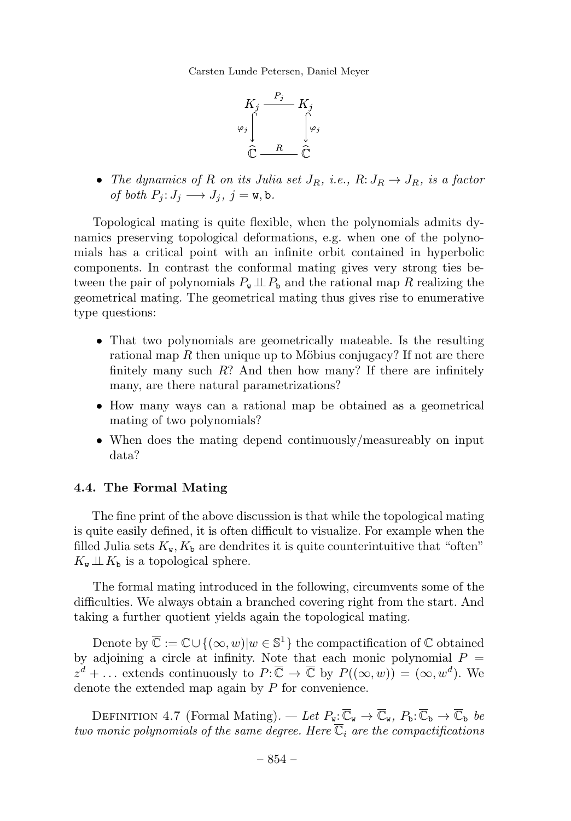

• The dynamics of R on its Julia set  $J_R$ , i.e.,  $R: J_R \to J_R$ , is a factor of both  $P_i: J_i \longrightarrow J_j, j = w, b$ .

Topological mating is quite flexible, when the polynomials admits dynamics preserving topological deformations, e.g. when one of the polynomials has a critical point with an infinite orbit contained in hyperbolic components. In contrast the conformal mating gives very strong ties between the pair of polynomials  $P_w \perp P_b$  and the rational map R realizing the geometrical mating. The geometrical mating thus gives rise to enumerative type questions:

- That two polynomials are geometrically mateable. Is the resulting rational map R then unique up to Möbius conjugacy? If not are there finitely many such  $R$ ? And then how many? If there are infinitely many, are there natural parametrizations?
- How many ways can a rational map be obtained as a geometrical mating of two polynomials?
- When does the mating depend continuously/measureably on input data?

# 4.4. The Formal Mating

The fine print of the above discussion is that while the topological mating is quite easily defined, it is often difficult to visualize. For example when the filled Julia sets  $K_{\mathbf{w}}, K_{\mathbf{b}}$  are dendrites it is quite counterintuitive that "often"  $K_{\mathbf{w}} \perp \!\!\! \perp K_{\mathbf{b}}$  is a topological sphere.

The formal mating introduced in the following, circumvents some of the difficulties. We always obtain a branched covering right from the start. And taking a further quotient yields again the topological mating.

Denote by  $\overline{\mathbb{C}} := \mathbb{C} \cup \{(\infty, w)|w \in \mathbb{S}^1\}$  the compactification of  $\mathbb{C}$  obtained by adjoining a circle at infinity. Note that each monic polynomial  $P =$  $z^d + \ldots$  extends continuously to  $P: \overline{\mathbb{C}} \to \overline{\mathbb{C}}$  by  $P((\infty, w)) = (\infty, w^d)$ . We denote the extended map again by  $P$  for convenience.

DEFINITION 4.7 (Formal Mating). — Let  $P_{\mathbf{w}}:\overline{\mathbb{C}}_{\mathbf{w}} \to \overline{\mathbb{C}}_{\mathbf{w}}, P_{\mathbf{b}}:\overline{\mathbb{C}}_{\mathbf{b}} \to \overline{\mathbb{C}}_{\mathbf{b}}$  be two monic polynomials of the same degree. Here  $\overline{\mathbb{C}}_i$  are the compactifications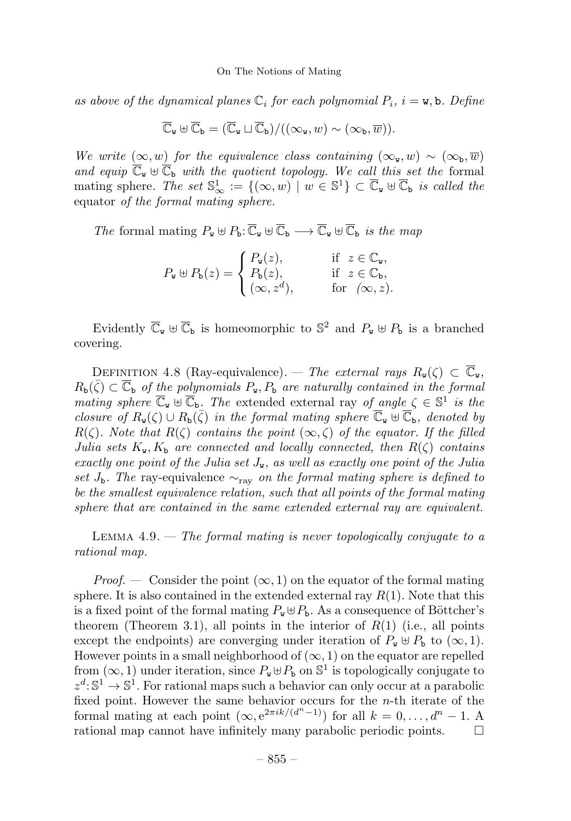as above of the dynamical planes  $\mathbb{C}_i$  for each polynomial  $P_i$ ,  $i = \mathbf{w}$ , b. Define

$$
\overline{\mathbb{C}}_{\mathbf{w}} \boxplus \overline{\mathbb{C}}_{\mathbf{b}} = (\overline{\mathbb{C}}_{\mathbf{w}} \sqcup \overline{\mathbb{C}}_{\mathbf{b}}) / ((\infty_{\mathbf{w}}, w) \sim (\infty_{\mathbf{b}}, \overline{w})).
$$

We write  $(\infty, w)$  for the equivalence class containing  $(\infty_{\mathbf{w}}, w) \sim (\infty_{\mathbf{b}}, \overline{w})$ and equip  $\overline{C}_w \oplus \overline{C}_b$  with the quotient topology. We call this set the formal mating sphere. The set  $\mathbb{S}^1_{\infty} := \{(\infty, w) \mid w \in \mathbb{S}^1\} \subset \overline{\mathbb{C}}_w \oplus \overline{\mathbb{C}}_b$  is called the equator of the formal mating sphere.

The formal mating  $P_{\mathbf{w}} \boxplus P_{\mathbf{b}} : \overline{\mathbb{C}}_{\mathbf{w}} \boxplus \overline{\mathbb{C}}_{\mathbf{b}} \longrightarrow \overline{\mathbb{C}}_{\mathbf{w}} \boxplus \overline{\mathbb{C}}_{\mathbf{b}}$  is the map

$$
P_{\mathbf{w}} \uplus P_{\mathbf{b}}(z) = \begin{cases} P_{\mathbf{w}}(z), & \quad \text{if } z \in \mathbb{C}_{\mathbf{w}}, \\ P_{\mathbf{b}}(z), & \quad \text{if } z \in \mathbb{C}_{\mathbf{b}}, \\ (\infty, z^d), & \quad \text{for } (\infty, z). \end{cases}
$$

Evidently  $\overline{\mathbb{C}}_v \oplus \overline{\mathbb{C}}_b$  is homeomorphic to  $\mathbb{S}^2$  and  $P_v \oplus P_b$  is a branched covering.

DEFINITION 4.8 (Ray-equivalence). — The external rays  $R_{\mathbf{w}}(\zeta) \subset \overline{\mathbb{C}}_{\mathbf{w}}$ ,  $R_{\mathbf{b}}(\bar{\zeta}) \subset \overline{\mathbb{C}}_{\mathbf{b}}$  of the polynomials  $P_{\mathbf{w}}, P_{\mathbf{b}}$  are naturally contained in the formal mating sphere  $\overline{\mathbb{C}}_v \oplus \overline{\mathbb{C}}_b$ . The extended external ray of angle  $\zeta \in \mathbb{S}^1$  is the closure of  $R_{\mathbf{w}}(\zeta) \cup R_{\mathbf{b}}(\bar{\zeta})$  in the formal mating sphere  $\overline{\mathbb{C}}_{\mathbf{w}} \oplus \overline{\mathbb{C}}_{\mathbf{b}}$ , denoted by  $R(\zeta)$ . Note that  $R(\zeta)$  contains the point  $(\infty, \zeta)$  of the equator. If the filled Julia sets  $K_{\mathbf{w}}, K_{\mathbf{b}}$  are connected and locally connected, then  $R(\zeta)$  contains exactly one point of the Julia set  $J_{\mathbf{w}}$ , as well as exactly one point of the Julia set  $J_{\rm b}$ . The ray-equivalence  $\sim_{\rm rav}$  on the formal mating sphere is defined to be the smallest equivalence relation, such that all points of the formal mating sphere that are contained in the same extended external ray are equivalent.

LEMMA  $4.9.$  — The formal mating is never topologically conjugate to a rational map.

*Proof.* — Consider the point  $(\infty, 1)$  on the equator of the formal mating sphere. It is also contained in the extended external ray  $R(1)$ . Note that this is a fixed point of the formal mating  $P_w \oplus P_b$ . As a consequence of Böttcher's theorem (Theorem 3.1), all points in the interior of  $R(1)$  (i.e., all points except the endpoints) are converging under iteration of  $P_w \oplus P_b$  to  $(\infty, 1)$ . However points in a small neighborhood of  $(\infty, 1)$  on the equator are repelled from  $(\infty, 1)$  under iteration, since  $P_w \oplus P_b$  on  $\mathbb{S}^1$  is topologically conjugate to  $z^d: \mathbb{S}^1 \to \mathbb{S}^1$ . For rational maps such a behavior can only occur at a parabolic fixed point. However the same behavior occurs for the  $n$ -th iterate of the formal mating at each point  $(\infty, e^{2\pi i k/(d^n-1)})$  for all  $k = 0, \ldots, d^n - 1$ . A rational map cannot have infinitely many parabolic periodic points. - $\Box$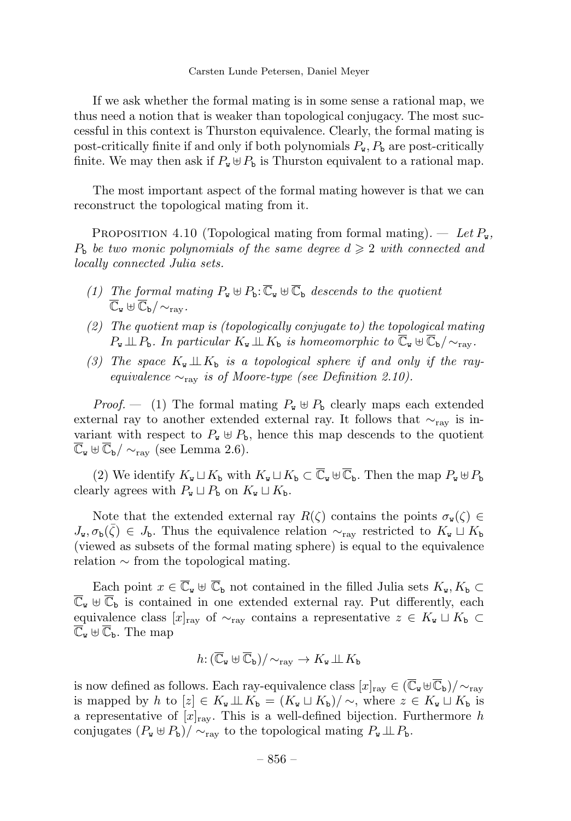If we ask whether the formal mating is in some sense a rational map,we thus need a notion that is weaker than topological conjugacy. The most successful in this context is Thurston equivalence. Clearly, the formal mating is post-critically finite if and only if both polynomials  $P_{\mathbf{w}}$ ,  $P_{\mathbf{b}}$  are post-critically finite. We may then ask if  $P_{\mathbf{w}} \oplus P_{\mathbf{b}}$  is Thurston equivalent to a rational map.

The most important aspect of the formal mating however is that we can reconstruct the topological mating from it.

PROPOSITION 4.10 (Topological mating from formal mating).  $-$  Let  $P_{\text{w}}$ ,  $P_{\rm b}$  be two monic polynomials of the same degree  $d \geqslant 2$  with connected and locally connected Julia sets.

- (1) The formal mating  $P_w \oplus P_b: \overline{\mathbb{C}}_w \oplus \overline{\mathbb{C}}_b$  descends to the quotient  $\overline{\mathbb{C}}_u \boxplus \overline{\mathbb{C}}_b / \sim_{\text{raw}}$ .
- (2) The quotient map is (topologically conjugate to) the topological mating  $P_{\mathbf{w}} \perp\!\!\!\perp P_{\mathbf{b}}$ . In particular  $K_{\mathbf{w}} \perp\!\!\!\perp K_{\mathbf{b}}$  is homeomorphic to  $\overline{\mathbb{C}}_{\mathbf{w}} \oplus \overline{\mathbb{C}}_{\mathbf{b}}/\sim_{\text{rav}}$ .
- (3) The space  $K_{\mathbf{w}} \perp K_{\mathbf{b}}$  is a topological sphere if and only if the rayequivalence  $\sim_{\text{rav}}$  is of Moore-type (see Definition 2.10).

*Proof.*  $-$  (1) The formal mating  $P_w \oplus P_b$  clearly maps each extended external ray to another extended external ray. It follows that  $\sim_{\text{ray}}$  is invariant with respect to  $P_{\mathbf{w}} \oplus P_{\mathbf{b}}$ , hence this map descends to the quotient  $\overline{\mathbb{C}}_{\mathbf{w}} \boxplus \overline{\mathbb{C}}_{\mathbf{b}}/\sim_{\text{rav}} (\text{see Lemma 2.6}).$ 

(2) We identify  $K_{\mathbf{w}} \sqcup K_{\mathbf{b}}$  with  $K_{\mathbf{w}} \sqcup K_{\mathbf{b}} \subset \overline{\mathbb{C}}_{\mathbf{w}} \oplus \overline{\mathbb{C}}_{\mathbf{b}}$ . Then the map  $P_{\mathbf{w}} \oplus P_{\mathbf{b}}$ clearly agrees with  $P_{\mathbf{w}} \sqcup P_{\mathbf{b}}$  on  $K_{\mathbf{w}} \sqcup K_{\mathbf{b}}$ .

Note that the extended external ray  $R(\zeta)$  contains the points  $\sigma_{\mathbf{w}}(\zeta) \in$  $J_{\mathbf{w}}, \sigma_{\mathbf{b}}(\bar{\zeta}) \in J_{\mathbf{b}}$ . Thus the equivalence relation  $\sim_{\text{rav}}$  restricted to  $K_{\mathbf{w}} \sqcup K_{\mathbf{b}}$ (viewed as subsets of the formal mating sphere) is equal to the equivalence relation  $\sim$  from the topological mating.

Each point  $x \in \overline{\mathbb{C}}_w \oplus \overline{\mathbb{C}}_b$  not contained in the filled Julia sets  $K_w, K_b \subset$  $\overline{\mathbb{C}}_{\mathbf{w}} \oplus \overline{\mathbb{C}}_{\mathbf{b}}$  is contained in one extended external ray. Put differently, each equivalence class  $[x]_{\text{rav}}$  of  $\sim_{\text{rav}}$  contains a representative  $z \in K_{\text{w}} \sqcup K_{\text{b}} \subset$  $\overline{\mathbb{C}}_{\mathbf{w}} \oplus \overline{\mathbb{C}}_{\mathbf{b}}$ . The map

$$
h\colon (\overline{\mathbb{C}}_{\mathbf{w}} \boxplus \overline{\mathbb{C}}_{\mathbf{b}}) / \sim_{\text{ray}} \rightarrow K_{\mathbf{w}} \perp \!\!\! \perp K_{\mathbf{b}}
$$

is now defined as follows. Each ray-equivalence class  $[x]_{\text{ray}} \in (\overline{\mathbb{C}}_{\mathbf{w}} \oplus \overline{\mathbb{C}}_{\mathbf{b}})/\sim_{\text{ray}}$ is mapped by h to  $[z] \in K_{\tt w} \perp \!\!\! \perp K_{\tt b} = (K_{\tt w} \sqcup K_{\tt b})/\sim$ , where  $z \in K_{\tt w} \sqcup K_{\tt b}$  is a representative of  $[x]_{\text{ray}}$ . This is a well-defined bijection. Furthermore h conjugates  $(P_w \oplus P_b)/\sim_{\text{ray}}$  to the topological mating  $P_w \perp P_b$ .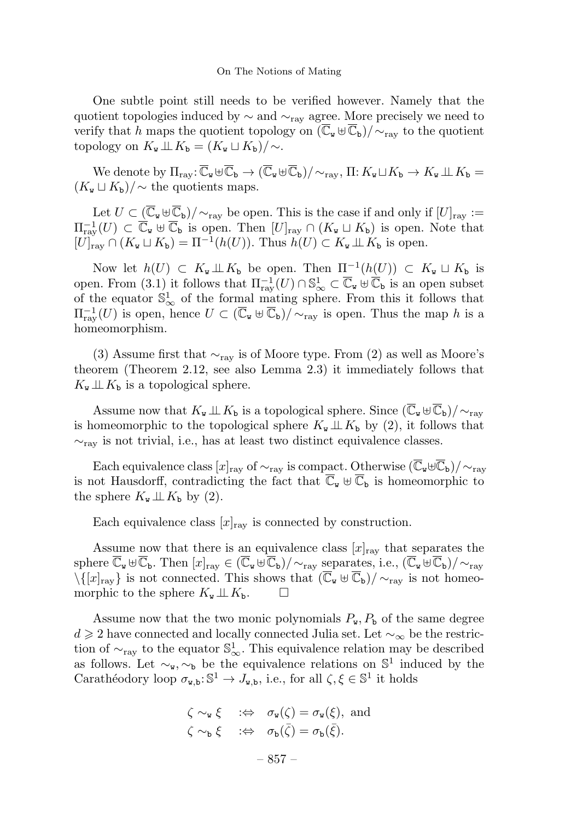One subtle point still needs to be verified however. Namely that the quotient topologies induced by  $\sim$  and  $\sim$ <sub>ray</sub> agree. More precisely we need to verify that h maps the quotient topology on  $(\overline{C}_{w} \oplus \overline{C}_{b})/\sim_{\text{rav}}$  to the quotient topology on  $K_{\mathbf{w}} \perp\!\!\!\perp K_{\mathbf{b}} = (K_{\mathbf{w}} \sqcup K_{\mathbf{b}})/\!\sim.$ 

We denote by  $\Pi_{\text{rav}}:\overline{\mathbb{C}}_{\mathbf{w}}\oplus\overline{\mathbb{C}}_{\mathbf{b}}\to (\overline{\mathbb{C}}_{\mathbf{w}}\oplus\overline{\mathbb{C}}_{\mathbf{b}})/\sim_{\text{rav}}, \Pi:K_{\mathbf{w}}\sqcup K_{\mathbf{b}}\to K_{\mathbf{w}}\perp \hspace{-0.1cm}\perp K_{\mathbf{b}}=$  $(K_{w} \sqcup K_{b})/\sim$  the quotients maps.

Let  $U \subset (\overline{\mathbb{C}}_{\mathtt{w}} \uplus \overline{\mathbb{C}}_{\mathtt{b}})/\!\sim_{\mathrm{ray}}$  be open. This is the case if and only if  $[U]_{\mathrm{ray}} :=$  $\Pi_{\text{ray}}^{-1}(U) \subset \overline{\mathbb{C}}_{\mathbf{v}} \oplus \overline{\mathbb{C}}_{\mathbf{b}}$  is open. Then  $[U]_{\text{ray}} \cap (K_{\mathbf{v}} \sqcup K_{\mathbf{b}})$  is open. Note that  $[U]_{\text{ray}} \cap (K_{\tt w} \sqcup K_{\tt b}) = \Pi^{-1}(h(U)).$  Thus  $h(U) \subset K_{\tt w} \perp\!\!\!\perp K_{\tt b}$  is open.

Now let  $h(U) \subset K_{\tt w} \perp\!\!\!\perp K_{\tt b}$  be open. Then  $\Pi^{-1}(h(U)) \subset K_{\tt w} \sqcup K_{\tt b}$  is open. From  $(3.1)$  it follows that  $\Pi_{\text{ray}}^{-1}(U) \cap \mathbb{S}_{\infty}^1 \subset \overline{\mathbb{C}}_{\mathbf{w}} \cup \overline{\mathbb{C}}_{\mathbf{b}}$  is an open subset of the equator  $\mathbb{S}^1_{\infty}$  of the formal mating sphere. From this it follows that  $\Pi_{\text{ray}}^{-1}(U)$  is open, hence  $U \subset (\overline{\mathbb{C}}_{\mathbf{w}} \oplus \overline{\mathbb{C}}_{\mathbf{b}})/{\sim_{\text{ray}}}$  is open. Thus the map h is a homeomorphism.

(3) Assume first that  $\sim_{\text{ray}}$  is of Moore type. From (2) as well as Moore's theorem (Theorem 2.12, see also Lemma 2.3) it immediately follows that  $K_{\mathbf{w}} \perp \!\!\! \perp K_{\mathbf{b}}$  is a topological sphere.

Assume now that  $K_{\mathbf{w}} \perp\!\!\!\perp K_{\mathbf{b}}$  is a topological sphere. Since  $(\overline{\mathbb{C}}_{\mathbf{w}} \oplus \overline{\mathbb{C}}_{\mathbf{b}})/\sim_{\text{ray}}$ is homeomorphic to the topological sphere  $K_{\mathbf{w}} \perp K_{\mathbf{b}}$  by (2), it follows that  $\sim_{\text{ray}}$  is not trivial, i.e., has at least two distinct equivalence classes.

Each equivalence class  $[x]_{\text{rav}}$  of  $\sim_{\text{rav}}$  is compact. Otherwise  $(\overline{\mathbb{C}}_{\mathbf{w}} \oplus \overline{\mathbb{C}}_{\mathbf{b}})/\sim_{\text{rav}}$ is not Hausdorff, contradicting the fact that  $\overline{C}_{w} \oplus \overline{C}_{b}$  is homeomorphic to the sphere  $K_{\mathbf{w}} \perp \!\!\! \perp K_{\mathbf{b}}$  by (2).

Each equivalence class  $[x]_{\text{ray}}$  is connected by construction.

Assume now that there is an equivalence class  $[x]_{\text{rav}}$  that separates the sphere  $\overline{\mathbb{C}}_{\mathbf{w}}\boxplus\overline{\mathbb{C}}_{\mathbf{b}}$ . Then  $[x]_{\text{ray}}\in(\overline{\mathbb{C}}_{\mathbf{w}}\boxplus\overline{\mathbb{C}}_{\mathbf{b}})/\sim_{\text{ray}}$  separates, i.e.,  $(\overline{\mathbb{C}}_{\mathbf{w}}\boxplus\overline{\mathbb{C}}_{\mathbf{b}})/\sim_{\text{ray}}$  $\langle \{[x]_{\text{rav}}\}\rangle$  is not connected. This shows that  $(\overline{C}_{w} \oplus \overline{C}_{b})/\sim_{\text{rav}}$  is not homeomorphic to the sphere  $K_{\mathbf{w}} \perp \!\!\! \perp K_{\mathbf{b}}$ .  $\Box$ 

Assume now that the two monic polynomials  $P_{w}$ ,  $P_{b}$  of the same degree  $d \geqslant 2$  have connected and locally connected Julia set. Let  $\sim_{\infty}$  be the restriction of  $\sim_{\text{ray}}$  to the equator  $\mathbb{S}^1_{\infty}$ . This equivalence relation may be described as follows. Let  $\sim_{\mathbf{w}}$ ,  $\sim_{\mathbf{b}}$  be the equivalence relations on  $\mathbb{S}^1$  induced by the Carathéodory loop  $\sigma_{\mathbf{w},\mathbf{b}}:\mathbb{S}^1\to J_{\mathbf{w},\mathbf{b}}$ , i.e., for all  $\zeta,\xi\in\mathbb{S}^1$  it holds

$$
\begin{aligned}\n\zeta \sim_{\mathbf{w}} \xi &\; : \Leftrightarrow \quad \sigma_{\mathbf{w}}(\zeta) = \sigma_{\mathbf{w}}(\xi), \text{ and} \\
\zeta \sim_{\mathbf{b}} \xi &\; : \Leftrightarrow \quad \sigma_{\mathbf{b}}(\bar{\zeta}) = \sigma_{\mathbf{b}}(\bar{\xi}).\n\end{aligned}
$$

– 857 –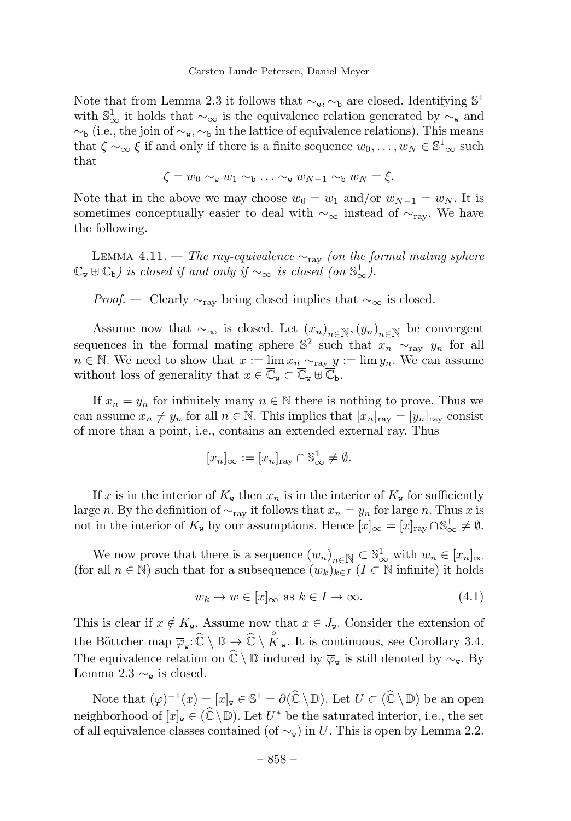Note that from Lemma 2.3 it follows that  $\sim_{\mathbf{w}}$ ,  $\sim_{\mathbf{b}}$  are closed. Identifying  $\mathbb{S}^1$ with  $\mathbb{S}_{\infty}^1$  it holds that  $\sim_{\infty}$  is the equivalence relation generated by  $\sim_{\mathbf{w}}$  and  $\sim_b$  (i.e., the join of  $\sim_w$ ,  $\sim_b$  in the lattice of equivalence relations). This means that  $\zeta \sim_{\infty} \xi$  if and only if there is a finite sequence  $w_0, \ldots, w_N \in \mathbb{S}^1_{\infty}$  such that

$$
\zeta = w_0 \sim_{\mathbf{w}} w_1 \sim_{\mathbf{b}} \ldots \sim_{\mathbf{w}} w_{N-1} \sim_{\mathbf{b}} w_N = \xi.
$$

Note that in the above we may choose  $w_0 = w_1$  and/or  $w_{N-1} = w_N$ . It is sometimes conceptually easier to deal with  $\sim_{\infty}$  instead of  $\sim_{\text{rav}}$ . We have the following.

LEMMA 4.11. — The ray-equivalence  $\sim_{\text{ray}}$  (on the formal mating sphere  $\overline{\mathbb{C}}_{\mathbf{w}} \boxplus \overline{\mathbb{C}}_{\mathbf{b}}$ ) is closed if and only if  $\sim_{\infty}$  is closed (on  $\mathbb{S}^1_{\infty}$ ).

*Proof.* — Clearly  $\sim_{\text{rav}}$  being closed implies that  $\sim_{\infty}$  is closed.

Assume now that  $\sim_{\infty}$  is closed. Let  $(x_n)_{n\in\mathbb{N}},(y_n)_{n\in\mathbb{N}}$  be convergent sequences in the formal mating sphere  $\mathbb{S}^2$  such that  $x_n \sim_{\text{ray}} y_n$  for all  $n \in \mathbb{N}$ . We need to show that  $x := \lim x_n \sim_{\text{ray }} y := \lim y_n$ . We can assume without loss of generality that  $x \in \overline{\mathbb{C}}_{\mathbf{w}} \subset \overline{\mathbb{C}}_{\mathbf{w}} \oplus \overline{\mathbb{C}}_{\mathbf{b}}$ .

If  $x_n = y_n$  for infinitely many  $n \in \mathbb{N}$  there is nothing to prove. Thus we can assume  $x_n \neq y_n$  for all  $n \in \mathbb{N}$ . This implies that  $[x_n]_{\text{ray}} = [y_n]_{\text{ray}}$  consist of more than a point, i.e., contains an extended external ray. Thus

$$
[x_n]_{\infty} := [x_n]_{\text{ray}} \cap \mathbb{S}^1_{\infty} \neq \emptyset.
$$

If x is in the interior of  $K_{\mathbf{w}}$  then  $x_n$  is in the interior of  $K_{\mathbf{w}}$  for sufficiently large n. By the definition of  $\sim_{\text{ray}}$  it follows that  $x_n = y_n$  for large n. Thus x is not in the interior of  $K_{\mathbf{w}}$  by our assumptions. Hence  $[x]_{\infty} = [x]_{\text{ray}} \cap \mathbb{S}^1_{\infty} \neq \emptyset$ .

We now prove that there is a sequence  $(w_n)_{n \in \mathbb{N}} \subset \mathbb{S}^1_{\infty}$  with  $w_n \in [x_n]_{\infty}$ (for all  $n \in \mathbb{N}$ ) such that for a subsequence  $(w_k)_{k \in I}$   $(I \subset \mathbb{N}$  infinite) it holds

$$
w_k \to w \in [x]_\infty \text{ as } k \in I \to \infty. \tag{4.1}
$$

This is clear if  $x \notin K_{\mathbf{w}}$ . Assume now that  $x \in J_{\mathbf{w}}$ . Consider the extension of the Böttcher map  $\overline{\varphi}_{\mathbf{w}}:\widehat{\mathbb{C}}\setminus\mathbb{D}\to\widehat{\mathbb{C}}\setminus\mathring{K}_{\mathbf{w}}$ . It is continuous, see Corollary 3.4. The equivalence relation on  $\hat{\mathbb{C}} \setminus \mathbb{D}$  induced by  $\overline{\varphi}_{w}$  is still denoted by  $\sim_{w}$ . By Lemma 2.3  $\sim_{\mathbf{w}}$  is closed.

Note that  $(\overline{\varphi})^{-1}(x)=[x]_{\mathbf{w}}\in\mathbb{S}^1=\partial(\widehat{\mathbb{C}}\setminus\mathbb{D})$ . Let  $U\subset(\widehat{\mathbb{C}}\setminus\mathbb{D})$  be an open neighborhood of  $[x]_{w} \in (\widehat{\mathbb{C}} \setminus \mathbb{D})$ . Let  $U^*$  be the saturated interior, i.e., the set of all equivalence classes contained (of  $\sim_{\mathbf{w}}$ ) in U. This is open by Lemma 2.2.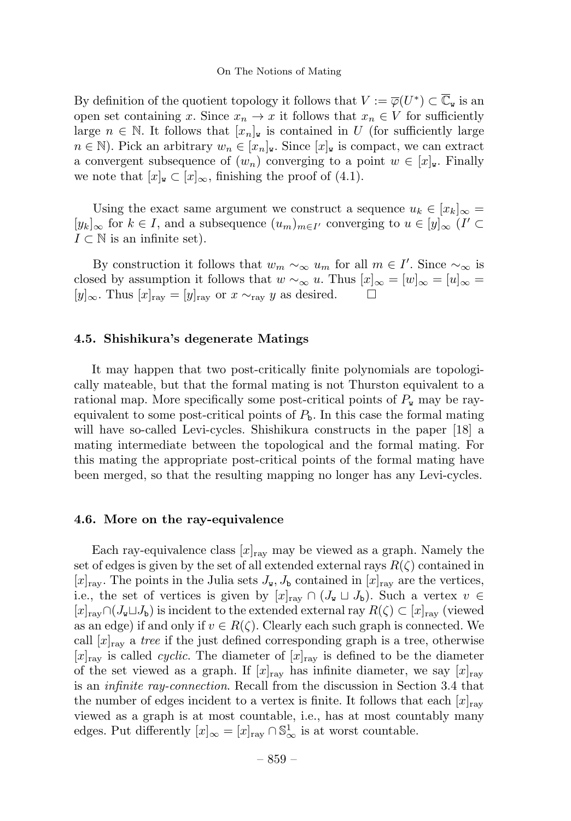By definition of the quotient topology it follows that  $V := \overline{\varphi}(U^*) \subset \mathbb{C}_{\mathbf{w}}$  is an open set containing x. Since  $x_n \to x$  it follows that  $x_n \in V$  for sufficiently large  $n \in \mathbb{N}$ . It follows that  $[x_n]_{\mathbf{w}}$  is contained in U (for sufficiently large  $n \in \mathbb{N}$ . Pick an arbitrary  $w_n \in [x_n]_{\mathbf{w}}$ . Since  $[x]_{\mathbf{w}}$  is compact, we can extract a convergent subsequence of  $(w_n)$  converging to a point  $w \in [x]_w$ . Finally we note that  $[x]_{\mathbf{w}} \subset [x]_{\infty}$ , finishing the proof of (4.1).

Using the exact same argument we construct a sequence  $u_k \in [x_k]_{\infty} =$  $[y_k]_{\infty}$  for  $k \in I$ , and a subsequence  $(u_m)_{m \in I'}$  converging to  $u \in [y]_{\infty}$  (I' ⊂  $I \subset \mathbb{N}$  is an infinite set).

By construction it follows that  $w_m \sim_{\infty} u_m$  for all  $m \in I'$ . Since  $\sim_{\infty}$  is closed by assumption it follows that  $w \sim_{\infty} u$ . Thus  $[x]_{\infty} = [w]_{\infty} = [u]_{\infty}$ [y]<sub>∞</sub>. Thus [x]<sub>ray</sub> = [y]<sub>ray</sub> or x  $\sim$ <sub>ray</sub> y as desired.  $\Box$ 

### 4.5. Shishikura's degenerate Matings

It may happen that two post-critically finite polynomials are topologically mateable, but that the formal mating is not Thurston equivalent to a rational map. More specifically some post-critical points of  $P_{w}$  may be rayequivalent to some post-critical points of  $P<sub>b</sub>$ . In this case the formal mating will have so-called Levi-cycles. Shishikura constructs in the paper [18] a mating intermediate between the topological and the formal mating. For this mating the appropriate post-critical points of the formal mating have been merged, so that the resulting mapping no longer has any Levi-cycles.

# 4.6. More on the ray-equivalence

Each ray-equivalence class  $[x]_{\text{rav}}$  may be viewed as a graph. Namely the set of edges is given by the set of all extended external rays  $R(\zeta)$  contained in  $[x]_{\text{ray}}$ . The points in the Julia sets  $J_{\mathbf{w}}, J_{\mathbf{b}}$  contained in  $[x]_{\text{ray}}$  are the vertices, i.e., the set of vertices is given by  $[x]_{\text{ray}} \cap (J_{\mathbf{w}} \sqcup J_{\mathbf{b}})$ . Such a vertex  $v \in$  $[x]_{\text{raw}} \cap (J_{\mathbf{w}} \sqcup J_{\mathbf{b}})$  is incident to the extended external ray  $R(\zeta) \subset [x]_{\text{raw}}$  (viewed as an edge) if and only if  $v \in R(\zeta)$ . Clearly each such graph is connected. We call  $[x]_{\text{rav}}$  a tree if the just defined corresponding graph is a tree, otherwise  $[x]_{\text{ray}}$  is called *cyclic*. The diameter of  $[x]_{\text{ray}}$  is defined to be the diameter of the set viewed as a graph. If  $[x]_{\text{rav}}$  has infinite diameter, we say  $[x]_{\text{rav}}$ is an infinite ray-connection. Recall from the discussion in Section 3.4 that the number of edges incident to a vertex is finite. It follows that each  $[x]_{\text{rav}}$ viewed as a graph is at most countable, i.e., has at most countably many edges. Put differently  $[x]_{\infty} = [x]_{\text{ray}} \cap \mathbb{S}^1_{\infty}$  is at worst countable.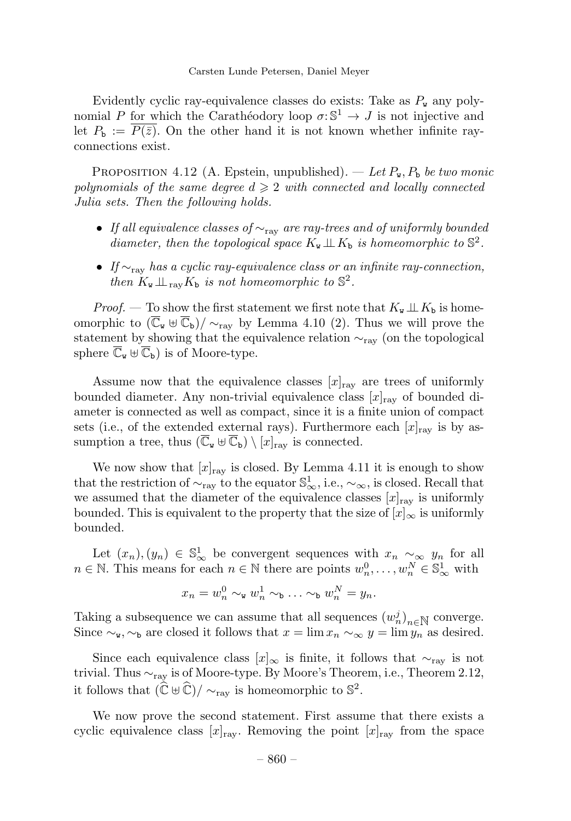Evidently cyclic ray-equivalence classes do exists: Take as  $P_{\rm w}$  any polynomial P for which the Carathéodory loop  $\sigma: \mathbb{S}^1 \to J$  is not injective and let  $P_{\rm b} := P(\bar{z})$ . On the other hand it is not known whether infinite rayconnections exist.

PROPOSITION 4.12 (A. Epstein, unpublished). — Let  $P_w$ ,  $P_b$  be two monic polynomials of the same degree  $d \geqslant 2$  with connected and locally connected Julia sets. Then the following holds.

- If all equivalence classes of  $\sim_{\text{ray}}$  are ray-trees and of uniformly bounded diameter, then the topological space  $K_{\mathbf{w}} \perp \!\!\! \perp K_{\mathbf{b}}$  is homeomorphic to  $\mathbb{S}^2$ .
- If  $\sim$ <sub>ray</sub> has a cyclic ray-equivalence class or an infinite ray-connection, then  $K_{\mathbf{w}} \perp \!\!\!\perp_{\text{rav}} K_{\mathbf{b}}$  is not homeomorphic to  $\mathbb{S}^2$ .

*Proof.* — To show the first statement we first note that  $K_{\mathbf{w}} \perp \!\!\! \perp K_{\mathbf{b}}$  is homeomorphic to  $(\overline{C}_{w} \oplus \overline{C}_{b})/\sim_{\text{ray}}$  by Lemma 4.10 (2). Thus we will prove the statement by showing that the equivalence relation ∼ray (on the topological sphere  $\mathbb{C}_{\mathbf{w}} \oplus \mathbb{C}_{\mathbf{b}}$  is of Moore-type.

Assume now that the equivalence classes  $[x]_{\text{rav}}$  are trees of uniformly bounded diameter. Any non-trivial equivalence class  $[x]_{\text{ray}}$  of bounded diameter is connected as well as compact, since it is a finite union of compact sets (i.e., of the extended external rays). Furthermore each  $[x]_{\text{rav}}$  is by assumption a tree, thus  $(\overline{C}_{w} \oplus \overline{C}_{b}) \setminus [x]_{\text{ray}}$  is connected.

We now show that  $[x]_{\text{ray}}$  is closed. By Lemma 4.11 it is enough to show that the restriction of  $\sim_{\text{ray}}$  to the equator  $\mathbb{S}^1_{\infty}$ , i.e.,  $\sim_{\infty}$ , is closed. Recall that we assumed that the diameter of the equivalence classes  $[x]_{\text{ray}}$  is uniformly bounded. This is equivalent to the property that the size of  $[x]_{\infty}$  is uniformly bounded.

Let  $(x_n), (y_n) \in \mathbb{S}^1_{\infty}$  be convergent sequences with  $x_n \sim_{\infty} y_n$  for all  $n \in \mathbb{N}$ . This means for each  $n \in \mathbb{N}$  there are points  $w_n^0, \ldots, w_n^N \in \mathbb{S}_{\infty}^1$  with

$$
x_n = w_n^0 \sim_{\mathbf{w}} w_n^1 \sim_{\mathbf{b}} \ldots \sim_{\mathbf{b}} w_n^N = y_n.
$$

Taking a subsequence we can assume that all sequences  $(w_n^j)_{n \in \mathbb{N}}$  converge. Since  $\sim_{\mathbf{w}}$ ,  $\sim_{\mathbf{b}}$  are closed it follows that  $x = \lim x_n \sim_{\infty} y = \lim y_n$  as desired.

Since each equivalence class  $[x]_{\infty}$  is finite, it follows that  $\sim_{\text{rav}}$  is not trivial. Thus  $\sim_{\text{rav}}$  is of Moore-type. By Moore's Theorem, i.e., Theorem 2.12, it follows that  $(\hat{\mathbb{C}} \oplus \hat{\mathbb{C}})/\sim_{\text{ray}}$  is homeomorphic to  $\mathbb{S}^2$ .

We now prove the second statement. First assume that there exists a cyclic equivalence class  $[x]_{\text{ray}}$ . Removing the point  $[x]_{\text{ray}}$  from the space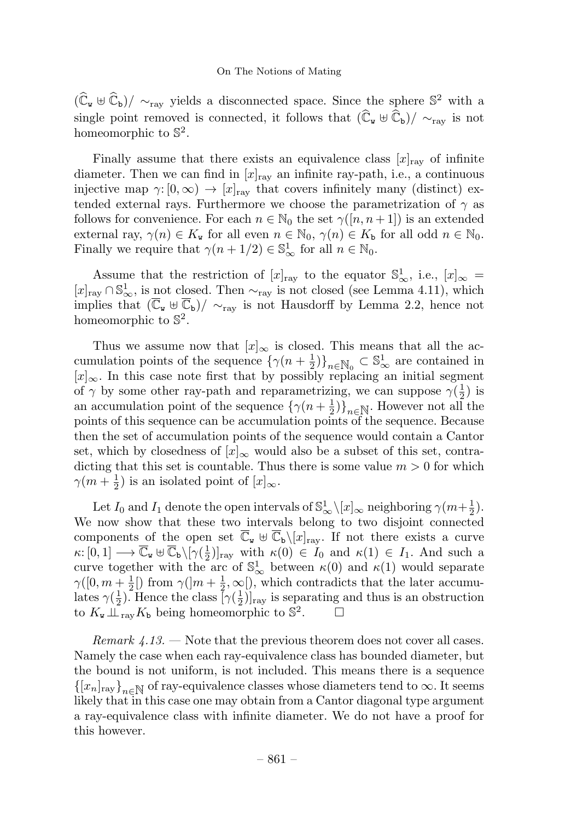$(\widehat{C}_{w} \oplus \widehat{C}_{b})$ / ∼<sub>rav</sub> yields a disconnected space. Since the sphere S<sup>2</sup> with a single point removed is connected, it follows that  $(\widehat{C}_{w} \oplus \widehat{C}_{b})/ \sim_{\text{rav}}$  is not homeomorphic to  $\mathbb{S}^2$ .

Finally assume that there exists an equivalence class  $[x]_{\text{rav}}$  of infinite diameter. Then we can find in  $[x]_{\text{ray}}$  an infinite ray-path, i.e., a continuous injective map  $\gamma: [0,\infty) \to [x]_{\text{rav}}$  that covers infinitely many (distinct) extended external rays. Furthermore we choose the parametrization of  $\gamma$  as follows for convenience. For each  $n \in \mathbb{N}_0$  the set  $\gamma([n, n+1])$  is an extended external ray,  $\gamma(n) \in K_{\mathbf{w}}$  for all even  $n \in \mathbb{N}_0$ ,  $\gamma(n) \in K_{\mathbf{b}}$  for all odd  $n \in \mathbb{N}_0$ . Finally we require that  $\gamma(n+1/2) \in \mathbb{S}^1_{\infty}$  for all  $n \in \mathbb{N}_0$ .

Assume that the restriction of  $[x]_{\text{ray}}$  to the equator  $\mathbb{S}^1_{\infty}$ , i.e.,  $[x]_{\infty} =$  $[x]_{\text{ray}} \cap \mathbb{S}_{\infty}^1$ , is not closed. Then  $\sim_{\text{ray}}$  is not closed (see Lemma 4.11), which implies that  $(\overline{C}_{w} \oplus \overline{C}_{b})/\sim_{ray}$  is not Hausdorff by Lemma 2.2, hence not homeomorphic to  $\mathbb{S}^2$ .

Thus we assume now that  $[x]_{\infty}$  is closed. This means that all the accumulation points of the sequence  $\{\gamma(n+\frac{1}{2})\}_{n\in\mathbb{N}_0}\subset\mathbb{S}^1_{\infty}$  are contained in  $[x]_{∞}$ . In this case note first that by possibly replacing an initial segment of  $\gamma$  by some other ray-path and reparametrizing, we can suppose  $\gamma(\frac{1}{2})$  is an accumulation point of the sequence  $\{\gamma(n+\frac{1}{2})\}_{n\in\mathbb{N}}$ . However not all the points of this sequence can be accumulation points of the sequence. Because then the set of accumulation points of the sequence would contain a Cantor set, which by closedness of  $[x]_{\infty}$  would also be a subset of this set, contradicting that this set is countable. Thus there is some value  $m > 0$  for which  $\gamma(m+\frac{1}{2})$  is an isolated point of  $[x]_{\infty}$ .

Let  $I_0$  and  $I_1$  denote the open intervals of  $\mathbb{S}^1_{\infty} \setminus [x]_{\infty}$  neighboring  $\gamma(m+\frac{1}{2})$ . We now show that these two intervals belong to two disjoint connected components of the open set  $\overline{C}_{w} \cup \overline{C}_{b} \setminus [x]_{\text{ray}}$ . If not there exists a curve  $\kappa: [0,1] \longrightarrow \overline{\mathbb{C}}_{\mathbf{w}} \cup \overline{\mathbb{C}}_{\mathbf{b}}\backslash[\gamma(\frac{1}{2})]_{\text{ray}}$  with  $\kappa(0) \in I_0$  and  $\kappa(1) \in I_1$ . And such a curve together with the arc of  $\mathbb{S}^1_{\infty}$  between  $\kappa(0)$  and  $\kappa(1)$  would separate  $\gamma([0, m + \frac{1}{2}])$  from  $\gamma([m + \frac{1}{2}, \infty])$ , which contradicts that the later accumulates  $\gamma(\frac{1}{2})$ . Hence the class  $[\gamma(\frac{1}{2})]_{\text{ray}}$  is separating and thus is an obstruction to  $K_{\mathbf{w}} \perp \!\!\!\perp_{\text{ray}} K_{\mathbf{b}}$  being homeomorphic to  $\mathbb{S}^2$ .  $\Box$ 

Remark  $4.13.$  — Note that the previous theorem does not cover all cases. Namely the case when each ray-equivalence class has bounded diameter, but the bound is not uniform, is not included. This means there is a sequence  ${[x_n]_{\text{ray}}}_{n \in \mathbb{N}}$  of ray-equivalence classes whose diameters tend to  $\infty$ . It seems likely that in this case one may obtain from a Cantor diagonal type argument a ray-equivalence class with infinite diameter. We do not have a proof for this however.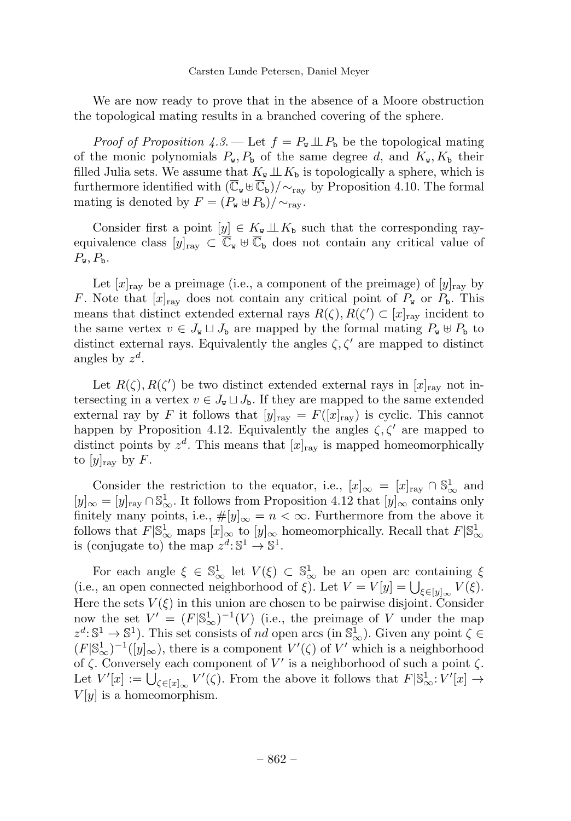We are now ready to prove that in the absence of a Moore obstruction the topological mating results in a branched covering of the sphere.

*Proof of Proposition 4.3.* — Let  $f = P_w \perp P_b$  be the topological mating of the monic polynomials  $P_w$ ,  $P_b$  of the same degree d, and  $K_w$ ,  $K_b$  their filled Julia sets. We assume that  $K_{\mathbf{w}} \perp K_{\mathbf{b}}$  is topologically a sphere, which is furthermore identified with  $(\overline{C}_{w} \oplus \overline{C}_{b})/\sim_{\text{rav}}$  by Proposition 4.10. The formal mating is denoted by  $F = (P_w \oplus P_b)/\sim_{\text{ray}}$ .

Consider first a point  $[y] \in K_{\tt w} \perp\!\!\!\perp K_{\tt b}$  such that the corresponding rayequivalence class  $[y]_{\text{ray}} \subset \overline{\mathbb{C}}_{\mathbf{w}} \oplus \overline{\mathbb{C}}_{\mathbf{b}}$  does not contain any critical value of  $P_{\rm w}$ ,  $P_{\rm b}$ .

Let  $[x]_{\text{ray}}$  be a preimage (i.e., a component of the preimage) of  $[y]_{\text{ray}}$  by F. Note that  $[x]_{\text{ray}}$  does not contain any critical point of  $P_{\text{w}}$  or  $P_{\text{b}}$ . This means that distinct extended external rays  $R(\zeta), R(\zeta') \subset [x]_{\text{ray}}$  incident to the same vertex  $v \in J_{\mathbf{w}} \sqcup J_{\mathbf{b}}$  are mapped by the formal mating  $P_{\mathbf{w}} \oplus P_{\mathbf{b}}$  to distinct external rays. Equivalently the angles  $\zeta$ ,  $\zeta'$  are mapped to distinct angles by  $z^d$ .

Let  $R(\zeta), R(\zeta')$  be two distinct extended external rays in  $[x]_{\text{ray}}$  not intersecting in a vertex  $v \in J_{\mathbf{w}} \sqcup J_{\mathbf{b}}$ . If they are mapped to the same extended external ray by F it follows that  $[y]_{\text{ray}} = F([x]_{\text{ray}})$  is cyclic. This cannot happen by Proposition 4.12. Equivalently the angles  $\zeta, \zeta'$  are mapped to distinct points by  $z^d$ . This means that  $[x]_{\text{rav}}$  is mapped homeomorphically to  $[y]_{\text{ray}}$  by F.

Consider the restriction to the equator, i.e.,  $[x]_{\infty} = [x]_{\text{ray}} \cap \mathbb{S}_{\infty}^1$  and  $[y]_{\infty} = [y]_{\text{ray}} \cap \mathbb{S}^1_{\infty}$ . It follows from Proposition 4.12 that  $[y]_{\infty}$  contains only finitely many points, i.e.,  $\#[y]_{\infty} = n < \infty$ . Furthermore from the above it follows that  $F|\mathbb{S}_{\infty}^1$  maps  $[x]_{\infty}$  to  $[y]_{\infty}$  homeomorphically. Recall that  $F|\mathbb{S}_{\infty}^1$ is (conjugate to) the map  $z^d: \mathbb{S}^1 \to \mathbb{S}^1$ .

For each angle  $\xi \in \mathbb{S}^1_\infty$  let  $V(\xi) \subset \mathbb{S}^1_\infty$  be an open arc containing  $\xi$ (i.e., an open connected neighborhood of  $\xi$ ). Let  $V = V[y] = \bigcup_{\xi \in [y]_{\infty}} V(\xi)$ . Here the sets  $V(\xi)$  in this union are chosen to be pairwise disjoint. Consider now the set  $V' = (F|\mathbb{S}_{\infty}^1)^{-1}(V)$  (i.e., the preimage of V under the map  $z^d: \mathbb{S}^1 \to \mathbb{S}^1$ ). This set consists of nd open arcs (in  $\mathbb{S}^1_{\infty}$ ). Given any point  $\zeta \in \mathbb{S}^1$  $(F|S^1_\infty)^{-1}([y]_\infty)$ , there is a component  $V'(\zeta)$  of  $V'$  which is a neighborhood of  $\zeta$ . Conversely each component of V' is a neighborhood of such a point  $\zeta$ . Let  $V'[x] := \bigcup_{\zeta \in [x]_\infty} V'(\zeta)$ . From the above it follows that  $F[\mathbb{S}^1_\infty: V'[x] \to$  $V[y]$  is a homeomorphism.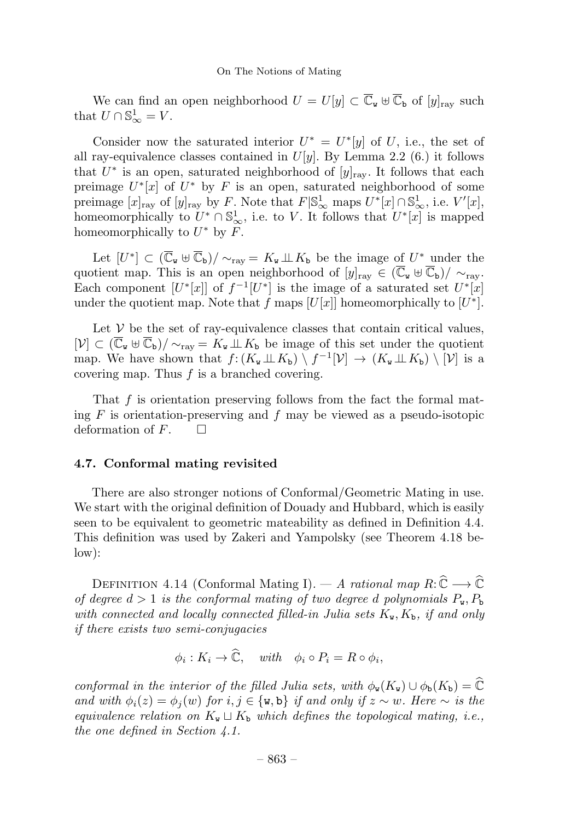We can find an open neighborhood  $U = U[y] \subset \overline{\mathbb{C}}_{\mathbf{w}} \oplus \overline{\mathbb{C}}_{\mathbf{b}}$  of  $[y]_{\text{rav}}$  such that  $U \cap \mathbb{S}^1_{\infty} = V$ .

Consider now the saturated interior  $U^* = U^*[y]$  of U, i.e., the set of all ray-equivalence classes contained in  $U[y]$ . By Lemma 2.2 (6.) it follows that  $U^*$  is an open, saturated neighborhood of  $[y]_{\text{rav}}$ . It follows that each preimage  $U^*[x]$  of  $U^*$  by F is an open, saturated neighborhood of some preimage  $[x]_{\text{ray}}$  of  $[y]_{\text{ray}}$  by F. Note that  $F|\mathbb{S}_{\infty}^1$  maps  $U^*[x] \cap \mathbb{S}_{\infty}^1$ , i.e.  $V'[x]$ , homeomorphically to  $U^* \cap \mathbb{S}^1_\infty$ , i.e. to V. It follows that  $U^*[x]$  is mapped homeomorphically to  $U^*$  by F.

Let  $[U^*] \subset (\overline{\mathbb{C}}_w \oplus \overline{\mathbb{C}}_b)/\sim_{\text{raw}} = K_w \perp K_b$  be the image of  $U^*$  under the quotient map. This is an open neighborhood of  $[y]_{\text{ray}} \in (\overline{\mathbb{C}}_{\mathbf{w}} \boxplus \overline{\mathbb{C}}_{\mathbf{b}})/\sim_{\text{ray}}$ . Each component  $[U^*[x]]$  of  $f^{-1}[U^*]$  is the image of a saturated set  $U^*[x]$ under the quotient map. Note that f maps  $[U[x]]$  homeomorphically to  $[U^*]$ .

Let  $V$  be the set of ray-equivalence classes that contain critical values,  $[\mathcal{V}] \subset (\overline{\mathbb{C}}_{\mathbf{w}} \boxplus \overline{\mathbb{C}}_{\mathbf{b}})/\sim_{\text{raw}} = K_{\mathbf{w}} \perp K_{\mathbf{b}}$  be image of this set under the quotient map. We have shown that  $f: (K_{\mathbf{w}} \perp\!\!\!\perp K_{\mathbf{b}}) \setminus f^{-1}[\mathcal{V}] \to (K_{\mathbf{w}} \perp\!\!\!\perp K_{\mathbf{b}}) \setminus [\mathcal{V}]$  is a covering map. Thus  $f$  is a branched covering.

That f is orientation preserving follows from the fact the formal mating  $F$  is orientation-preserving and  $f$  may be viewed as a pseudo-isotopic deformation of  $F$ .  $\Box$ 

#### 4.7. Conformal mating revisited

There are also stronger notions of Conformal/Geometric Mating in use. We start with the original definition of Douady and Hubbard, which is easily seen to be equivalent to geometric mateability as defined in Definition 4.4. This definition was used by Zakeri and Yampolsky (see Theorem 4.18 below):

DEFINITION 4.14 (Conformal Mating I). — A rational map  $R: \widehat{\mathbb{C}} \longrightarrow \widehat{\mathbb{C}}$ of degree  $d > 1$  is the conformal mating of two degree d polynomials  $P_w$ ,  $P_b$ with connected and locally connected filled-in Julia sets  $K_{\mathbf{w}}, K_{\mathbf{b}},$  if and only if there exists two semi-conjugacies

$$
\phi_i: K_i \to \mathbb{C}, \quad with \quad \phi_i \circ P_i = R \circ \phi_i,
$$

conformal in the interior of the filled Julia sets, with  $\phi_{\mathbf{w}}(K_{\mathbf{w}}) \cup \phi_{\mathbf{b}}(K_{\mathbf{b}}) = \hat{\mathbb{C}}$ and with  $\phi_i(z) = \phi_i(w)$  for  $i, j \in \{w, b\}$  if and only if  $z \sim w$ . Here  $\sim$  is the equivalence relation on  $K_{\mathbf{w}} \sqcup K_{\mathbf{b}}$  which defines the topological mating, i.e., the one defined in Section 4.1.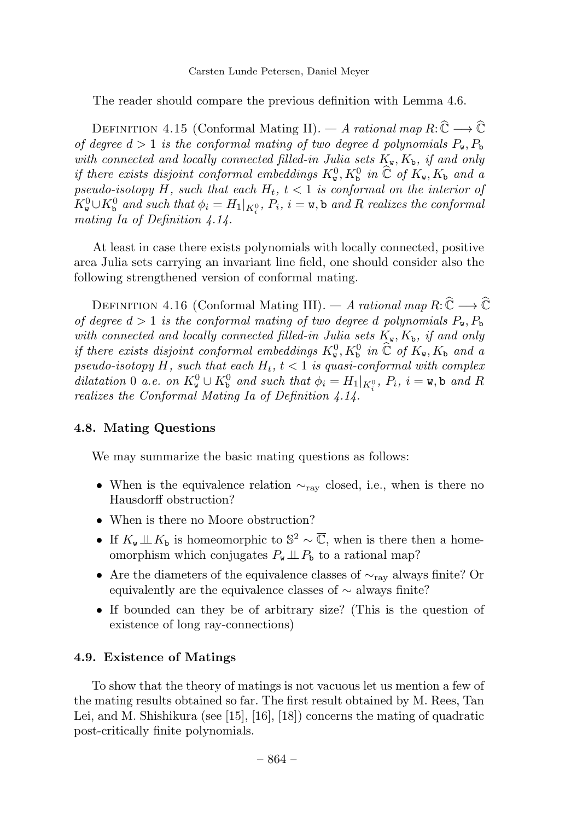The reader should compare the previous definition with Lemma 4.6.

DEFINITION 4.15 (Conformal Mating II). — A rational map  $R: \widehat{\mathbb{C}} \longrightarrow \widehat{\mathbb{C}}$ of degree  $d > 1$  is the conformal mating of two degree d polynomials  $P_w, P_b$ with connected and locally connected filled-in Julia sets  $K_{\mathbf{w}}, K_{\mathbf{b}},$  if and only if there exists disjoint conformal embeddings  $K_w^0$ ,  $K_b^0$  in  $\widehat{\mathbb{C}}$  of  $K_w$ ,  $K_b$  and a pseudo-isotopy H, such that each  $H_t$ ,  $t < 1$  is conformal on the interior of  $K^0_{\mathbf{w}} \cup K^0_{\mathbf{b}}$  and such that  $\phi_i = H_1|_{K^0_i}$ ,  $P_i$ ,  $i = \mathbf{w}, \mathbf{b}$  and R realizes the conformal mating Ia of Definition 4.14.

At least in case there exists polynomials with locally connected, positive area Julia sets carrying an invariant line field, one should consider also the following strengthened version of conformal mating.

DEFINITION 4.16 (Conformal Mating III). — A rational map  $R: \widehat{\mathbb{C}} \longrightarrow \widehat{\mathbb{C}}$ of degree  $d > 1$  is the conformal mating of two degree d polynomials  $P_{\rm w}$ ,  $P_{\rm b}$ with connected and locally connected filled-in Julia sets  $K_{\mathbf{w}}, K_{\mathbf{b}},$  if and only if there exists disjoint conformal embeddings  $K_w^0$ ,  $K_b^0$  in  $\widehat{\mathbb{C}}$  of  $K_w$ ,  $K_b$  and a pseudo-isotopy H, such that each  $H_t$ ,  $t < 1$  is quasi-conformal with complex dilatation 0 a.e. on  $K^0_{\mathbf{w}} \cup K^0_{\mathbf{b}}$  and such that  $\phi_i = H_1|_{K^0_i}$ ,  $P_i$ ,  $i = \mathbf{w}, \mathbf{b}$  and R realizes the Conformal Mating Ia of Definition 4.14.

# 4.8. Mating Questions

We may summarize the basic mating questions as follows:

- When is the equivalence relation  $\sim_{\text{rav}}$  closed, i.e., when is there no Hausdorff obstruction?
- When is there no Moore obstruction?
- If  $K_{\mathbf{w}} \perp\!\!\!\perp K_{\mathbf{b}}$  is homeomorphic to  $\mathbb{S}^2 \sim \overline{\mathbb{C}}$ , when is there then a homeomorphism which conjugates  $P_w \perp P_b$  to a rational map?
- Are the diameters of the equivalence classes of  $\sim_{\text{rav}}$  always finite? Or equivalently are the equivalence classes of ∼ always finite?
- If bounded can they be of arbitrary size? (This is the question of existence of long ray-connections)

# 4.9. Existence of Matings

To show that the theory of matings is not vacuous let us mention a few of the mating results obtained so far. The first result obtained by M. Rees, Tan Lei, and M. Shishikura (see [15], [16], [18]) concerns the mating of quadratic post-critically finite polynomials.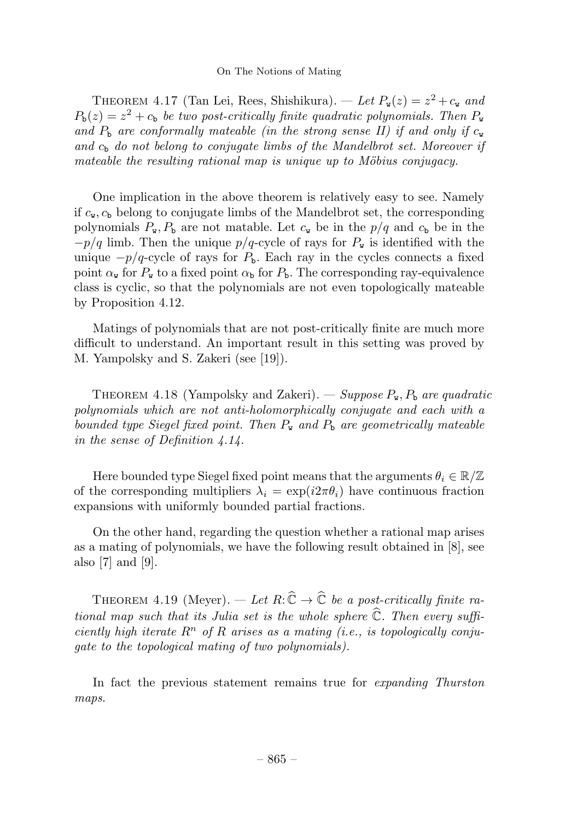THEOREM 4.17 (Tan Lei, Rees, Shishikura). — Let  $P_{\mathbf{w}}(z) = z^2 + c_{\mathbf{w}}$  and  $P_{\rm b}(z) = z^2 + c_{\rm b}$  be two post-critically finite quadratic polynomials. Then  $P_{\rm w}$ and  $P_{\rm b}$  are conformally mateable (in the strong sense II) if and only if  $c_{\rm w}$ and  $c<sub>b</sub>$  do not belong to conjugate limbs of the Mandelbrot set. Moreover if mateable the resulting rational map is unique up to Möbius conjugacy.

One implication in the above theorem is relatively easy to see. Namely if  $c_{\rm w}$ ,  $c_{\rm b}$  belong to conjugate limbs of the Mandelbrot set, the corresponding polynomials  $P_{\mathbf{w}}, P_{\mathbf{b}}$  are not matable. Let  $c_{\mathbf{w}}$  be in the  $p/q$  and  $c_{\mathbf{b}}$  be in the  $-p/q$  limb. Then the unique  $p/q$ -cycle of rays for  $P_w$  is identified with the unique  $-p/q$ -cycle of rays for  $P<sub>b</sub>$ . Each ray in the cycles connects a fixed point  $\alpha_{\rm w}$  for  $P_{\rm w}$  to a fixed point  $\alpha_{\rm b}$  for  $P_{\rm b}$ . The corresponding ray-equivalence class is cyclic, so that the polynomials are not even topologically mateable by Proposition 4.12.

Matings of polynomials that are not post-critically finite are much more difficult to understand. An important result in this setting was proved by M. Yampolsky and S. Zakeri (see [19]).

THEOREM 4.18 (Yampolsky and Zakeri). — Suppose  $P_{\mathbf{w}}$ ,  $P_{\mathbf{b}}$  are quadratic polynomials which are not anti-holomorphically conjugate and each with a bounded type Siegel fixed point. Then  $P_w$  and  $P_b$  are geometrically mateable in the sense of Definition 4.14.

Here bounded type Siegel fixed point means that the arguments  $\theta_i \in \mathbb{R}/\mathbb{Z}$ of the corresponding multipliers  $\lambda_i = \exp(i2\pi\theta_i)$  have continuous fraction expansions with uniformly bounded partial fractions.

On the other hand, regarding the question whether a rational map arises as a mating of polynomials, we have the following result obtained in  $[8]$ , see also [7] and [9].

THEOREM 4.19 (Meyer). — Let  $R: \widehat{\mathbb{C}} \to \widehat{\mathbb{C}}$  be a post-critically finite rational map such that its Julia set is the whole sphere  $\widehat{\mathbb{C}}$ . Then every sufficiently high iterate  $R^n$  of R arises as a mating (i.e., is topologically conjugate to the topological mating of two polynomials).

In fact the previous statement remains true for expanding Thurston maps.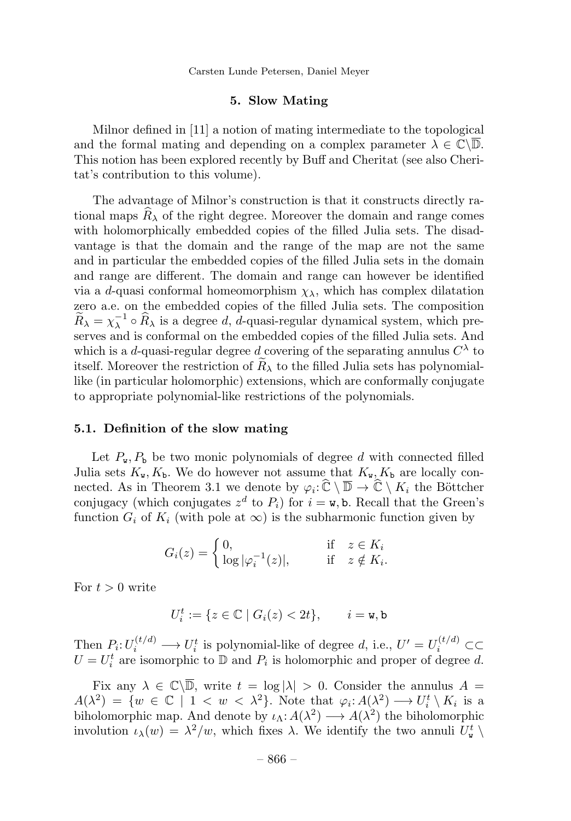#### 5. Slow Mating

Milnor defined in [11] a notion of mating intermediate to the topological and the formal mating and depending on a complex parameter  $\lambda \in \mathbb{C}\backslash \overline{\mathbb{D}}$ . This notion has been explored recently by Buff and Cheritat (see also Cheritat's contribution to this volume).

The advantage of Milnor's construction is that it constructs directly rational maps  $R_{\lambda}$  of the right degree. Moreover the domain and range comes with holomorphically embedded copies of the filled Julia sets. The disadvantage is that the domain and the range of the map are not the same and in particular the embedded copies of the filled Julia sets in the domain and range are different. The domain and range can however be identified via a d-quasi conformal homeomorphism  $\chi_{\lambda}$ , which has complex dilatation zero a.e. on the embedded copies of the filled Julia sets. The composition  $\widetilde{R}_{\lambda} = \chi_{\lambda}^{-1} \circ \widehat{R}_{\lambda}$  is a degree d, d-quasi-regular dynamical system, which preserves and is conformal on the embedded copies of the filled Julia sets. And which is a d-quasi-regular degree d covering of the separating annulus  $C^{\lambda}$  to itself. Moreover the restriction of  $R_{\lambda}$  to the filled Julia sets has polynomiallike (in particular holomorphic) extensions, which are conformally conjugate to appropriate polynomial-like restrictions of the polynomials.

#### 5.1. Definition of the slow mating

Let  $P_{\mathbf{w}}, P_{\mathbf{b}}$  be two monic polynomials of degree d with connected filled Julia sets  $K_{\mathbf{w}}, K_{\mathbf{b}}$ . We do however not assume that  $K_{\mathbf{w}}, K_{\mathbf{b}}$  are locally connected. As in Theorem 3.1 we denote by  $\varphi_i: \widehat{\mathbb{C}} \setminus \overline{\mathbb{D}} \to \widehat{\mathbb{C}} \setminus K_i$  the Böttcher conjugacy (which conjugates  $z^d$  to  $P_i$ ) for  $i = \mathbf{w}$ , b. Recall that the Green's function  $G_i$  of  $K_i$  (with pole at  $\infty$ ) is the subharmonic function given by

$$
G_i(z) = \begin{cases} 0, & \text{if } z \in K_i \\ \log |\varphi_i^{-1}(z)|, & \text{if } z \notin K_i. \end{cases}
$$

For  $t > 0$  write

$$
U_i^t := \{ z \in \mathbb{C} \mid G_i(z) < 2t \}, \qquad i = \mathbf{w}, \mathbf{b}
$$

Then  $P_i: U_i^{(t/d)} \longrightarrow U_i^t$  is polynomial-like of degree d, i.e.,  $U' = U_i^{(t/d)} \subset \subset$  $U = U_i^t$  are isomorphic to  $D$  and  $P_i$  is holomorphic and proper of degree d.

Fix any  $\lambda \in \mathbb{C}\backslash\overline{\mathbb{D}}$ , write  $t = \log|\lambda| > 0$ . Consider the annulus  $A =$  $A(\lambda^2) = \{w \in \mathbb{C} \mid 1 < w < \lambda^2\}.$  Note that  $\varphi_i: A(\lambda^2) \longrightarrow U_i^t \setminus K_i$  is a biholomorphic map. And denote by  $\iota_{\Lambda}: A(\lambda^2) \longrightarrow A(\lambda^2)$  the biholomorphic involution  $\iota_\lambda(w) = \lambda^2/w$ , which fixes  $\lambda$ . We identify the two annuli  $U^t_{\mathbf{w}} \setminus$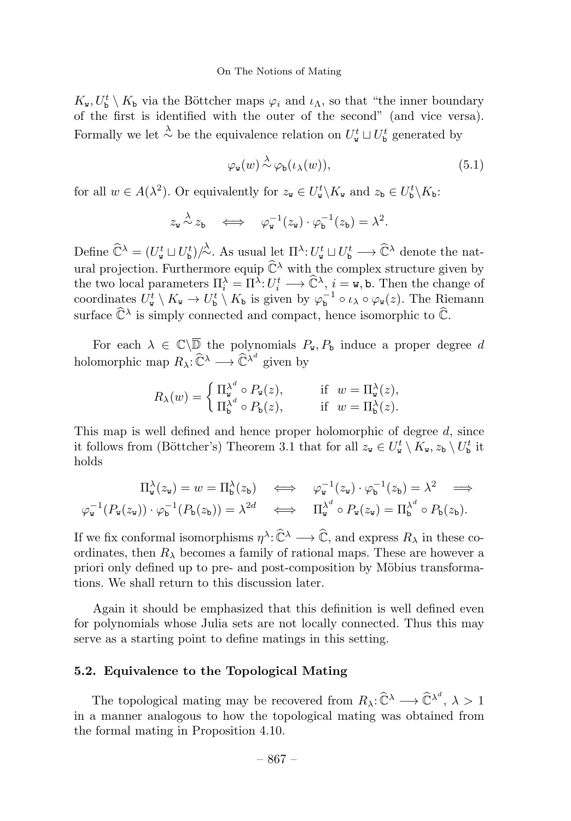$K_{\mathbf{w}}, U_{\mathbf{b}}^t \setminus K_{\mathbf{b}}$  via the Böttcher maps  $\varphi_i$  and  $\iota_{\Lambda}$ , so that "the inner boundary" of the first is identified with the outer of the second" (and vice versa). Formally we let  $\stackrel{\lambda}{\sim}$  be the equivalence relation on  $U_{\mathbf{w}}^t \sqcup U_{\mathbf{b}}^t$  generated by

$$
\varphi_{\mathbf{w}}(w) \stackrel{\lambda}{\sim} \varphi_{\mathbf{b}}(\iota_{\lambda}(w)),\tag{5.1}
$$

for all  $w \in A(\lambda^2)$ . Or equivalently for  $z_{\mathbf{w}} \in U_{\mathbf{w}}^t \setminus K_{\mathbf{w}}$  and  $z_{\mathbf{b}} \in U_{\mathbf{b}}^t \setminus K_{\mathbf{b}}$ :

$$
z_{\mathbf{w}} \stackrel{\lambda}{\sim} z_{\mathbf{b}} \quad \Longleftrightarrow \quad \varphi_{\mathbf{w}}^{-1}(z_{\mathbf{w}}) \cdot \varphi_{\mathbf{b}}^{-1}(z_{\mathbf{b}}) = \lambda^2.
$$

Define  $\widehat{\mathbb{C}}^{\lambda} = (U_{\mathbf{w}}^t \sqcup U_{\mathbf{b}}^t)/\lambda$ . As usual let  $\Pi^{\lambda}: U_{\mathbf{w}}^t \sqcup U_{\mathbf{b}}^t \longrightarrow \widehat{\mathbb{C}}^{\lambda}$  denote the natural projection. Furthermore equip  $\hat{\mathbb{C}}^{\lambda}$  with the complex structure given by the two local parameters  $\Pi_i^{\lambda} = \Pi^{\lambda}: U_i^t \longrightarrow \hat{\mathbb{C}}^{\lambda}, i = \mathbf{w}, \mathbf{b}$ . Then the change of coordinates  $U^t_{\mathbf{w}} \setminus K_{\mathbf{w}} \to U^t_{\mathbf{b}} \setminus K_{\mathbf{b}}$  is given by  $\varphi_{\mathbf{b}}^{-1} \circ \iota_{\lambda} \circ \varphi_{\mathbf{w}}(z)$ . The Riemann surface  $\widehat{\mathbb{C}}^{\lambda}$  is simply connected and compact, hence isomorphic to  $\widehat{\mathbb{C}}$ .

For each  $\lambda \in \mathbb{C}\backslash\overline{\mathbb{D}}$  the polynomials  $P_{\mathbf{w}}, P_{\mathbf{b}}$  induce a proper degree d holomorphic map  $R_{\lambda} : \widehat{\mathbb{C}}^{\lambda} \longrightarrow \widehat{\mathbb{C}}^{\lambda^d}$  given by

$$
R_{\lambda}(w) = \begin{cases} \prod_{w}^{\lambda^{d}} \circ P_{w}(z), & \text{if } w = \Pi_{w}^{\lambda}(z), \\ \Pi_{b}^{\lambda^{d}} \circ P_{b}(z), & \text{if } w = \Pi_{b}^{\lambda}(z). \end{cases}
$$

This map is well defined and hence proper holomorphic of degree  $d$ , since it follows from (Böttcher's) Theorem 3.1 that for all  $z_{\mathbf{w}} \in U_{\mathbf{w}}^t \setminus K_{\mathbf{w}}, z_{\mathbf{b}} \setminus U_{\mathbf{b}}^t$  it holds

$$
\Pi_{\mathbf{w}}^{\lambda}(z_{\mathbf{w}}) = w = \Pi_{\mathbf{b}}^{\lambda}(z_{\mathbf{b}}) \iff \varphi_{\mathbf{w}}^{-1}(z_{\mathbf{w}}) \cdot \varphi_{\mathbf{b}}^{-1}(z_{\mathbf{b}}) = \lambda^2 \iff \varphi_{\mathbf{w}}^{-1}(P_{\mathbf{w}}(z_{\mathbf{w}})) \cdot \varphi_{\mathbf{b}}^{-1}(P_{\mathbf{b}}(z_{\mathbf{b}})) = \lambda^{2d} \iff \Pi_{\mathbf{w}}^{\lambda^d} \circ P_{\mathbf{w}}(z_{\mathbf{w}}) = \Pi_{\mathbf{b}}^{\lambda^d} \circ P_{\mathbf{b}}(z_{\mathbf{b}}).
$$

If we fix conformal isomorphisms  $\eta^{\lambda}:\widehat{\mathbb{C}}^{\lambda}\longrightarrow \widehat{\mathbb{C}}$ , and express  $R_{\lambda}$  in these coordinates, then  $R_{\lambda}$  becomes a family of rational maps. These are however a priori only defined up to pre- and post-composition by Möbius transformations. We shall return to this discussion later.

Again it should be emphasized that this definition is well defined even for polynomials whose Julia sets are not locally connected. Thus this may serve as a starting point to define matings in this setting.

#### 5.2. Equivalence to the Topological Mating

The topological mating may be recovered from  $R_\lambda: \widehat{\mathbb{C}}^\lambda \longrightarrow \widehat{\mathbb{C}}^{\lambda^d}, \lambda > 1$ in a manner analogous to how the topological mating was obtained from the formal mating in Proposition 4.10.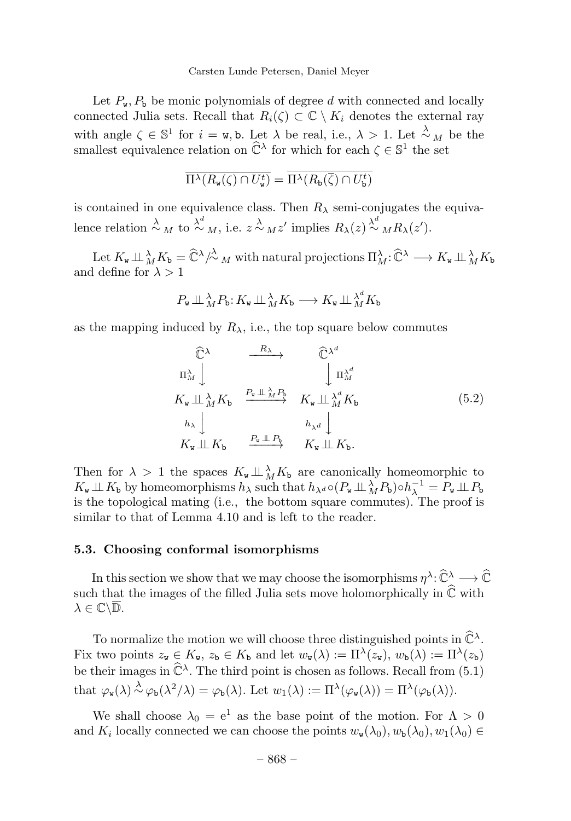Let  $P_w$ ,  $P_b$  be monic polynomials of degree d with connected and locally connected Julia sets. Recall that  $R_i(\zeta) \subset \mathbb{C} \setminus K_i$  denotes the external ray with angle  $\zeta \in \mathbb{S}^1$  for  $i = \mathbf{w}$ , b. Let  $\lambda$  be real, i.e.,  $\lambda > 1$ . Let  $\lambda_M$  be the smallest equivalence relation on  $\tilde{\mathbb{C}}^{\lambda}$  for which for each  $\zeta \in \mathbb{S}^1$  the set

$$
\overline{\Pi^{\lambda}(R_{\mathbf{w}}(\zeta)\cap U_{\mathbf{w}}^t)} = \overline{\Pi^{\lambda}(R_{\mathbf{b}}(\overline{\zeta})\cap U_{\mathbf{b}}^t)}
$$

is contained in one equivalence class. Then  $R_{\lambda}$  semi-conjugates the equivalence relation  $\stackrel{\lambda}{\sim}_M$  to  $\stackrel{\lambda^d}{\sim}_M$ , i.e.  $z \stackrel{\lambda}{\sim}_M z'$  implies  $R_\lambda(z) \stackrel{\lambda^d}{\sim}_M R_\lambda(z').$ 

Let  $K_{\mathbf{w}} \perp \mathcal{L}_{M} K_{\mathbf{b}} = \widehat{\mathbb{C}}^{\lambda}/\stackrel{\lambda}{\sim}_M$  with natural projections  $\Pi_{M}^{\lambda} : \widehat{\mathbb{C}}^{\lambda} \longrightarrow K_{\mathbf{w}} \perp \stackrel{\lambda}{\to} K_{\mathbf{b}}$ and define for  $\lambda > 1$ 

$$
P_{\mathbf{w}} \perp \mathcal{L}_{M} \bigwedge_{\mathbf{b}} F_{\mathbf{b}}: K_{\mathbf{w}} \perp \mathcal{L}_{M} \bigwedge_{\mathbf{b}} K_{\mathbf{b}} \longrightarrow K_{\mathbf{w}} \perp \mathcal{L}_{M}^{\lambda^{d}} K_{\mathbf{b}}
$$

as the mapping induced by  $R_{\lambda}$ , i.e., the top square below commutes

$$
\begin{array}{ccc}\n\widehat{\mathbb{C}}^{\lambda} & \xrightarrow{R_{\lambda}} & \widehat{\mathbb{C}}^{\lambda^{d}} \\
\pi_{M}^{\lambda} & & \downarrow \pi_{M}^{\lambda} \\
K_{\mathbf{w}} \perp \lambda_{M}^{{\lambda}} K_{\mathbf{b}} & \xrightarrow{P_{\mathbf{w}} \perp \lambda_{M}^{{\lambda}} P_{\mathbf{b}}} & K_{\mathbf{w}} \perp \lambda_{M}^{\lambda} K_{\mathbf{b}} \\
h_{\lambda} & & h_{\lambda} \downarrow \\
K_{\mathbf{w}} \perp K_{\mathbf{b}} & \xrightarrow{P_{\mathbf{w}} \perp P_{\mathbf{b}}} & K_{\mathbf{w}} \perp K_{\mathbf{b}}.\n\end{array} \tag{5.2}
$$

Then for  $\lambda > 1$  the spaces  $K_{w} \perp \lambda_{M} K_{b}$  are canonically homeomorphic to  $K_{\mathbf{w}} \perp \!\!\! \perp K_{\mathbf{b}}$  by homeomorphisms  $h_{\lambda}$  such that  $h_{\lambda^d} \circ (P_{\mathbf{w}} \perp \!\!\! \perp M \mathbf{b}_\lambda) \circ h_{\lambda}^{-1} = P_{\mathbf{w}} \perp \!\!\! \perp P_{\mathbf{b}}$ is the topological mating (i.e., the bottom square commutes). The proof is similar to that of Lemma 4.10 and is left to the reader.

#### 5.3. Choosing conformal isomorphisms

In this section we show that we may choose the isomorphisms  $\eta^\lambda\colon\widehat{\mathbb C}^\lambda\longrightarrow\widehat{\mathbb C}$ such that the images of the filled Julia sets move holomorphically in  $\hat{\mathbb{C}}$  with  $\lambda \in \mathbb{C}\backslash\overline{\mathbb{D}}.$ 

To normalize the motion we will choose three distinguished points in  $\hat{\mathbb{C}}^{\lambda}$ . Fix two points  $z_w \in K_w$ ,  $z_b \in K_b$  and let  $w_w(\lambda) := \Pi^{\lambda}(z_w)$ ,  $w_b(\lambda) := \Pi^{\lambda}(z_b)$ be their images in  $\widehat{\mathbb{C}}^{\lambda}$ . The third point is chosen as follows. Recall from (5.1) that  $\varphi_{\mathbf{w}}(\lambda) \stackrel{\lambda}{\sim} \varphi_{\mathbf{b}}(\lambda^2/\lambda) = \varphi_{\mathbf{b}}(\lambda)$ . Let  $w_1(\lambda) := \Pi^{\lambda}(\varphi_{\mathbf{w}}(\lambda)) = \Pi^{\lambda}(\varphi_{\mathbf{b}}(\lambda)).$ 

We shall choose  $\lambda_0 = e^1$  as the base point of the motion. For  $\Lambda > 0$ and  $K_i$  locally connected we can choose the points  $w_{\mathbf{w}}(\lambda_0), w_{\mathbf{b}}(\lambda_0), w_1(\lambda_0) \in$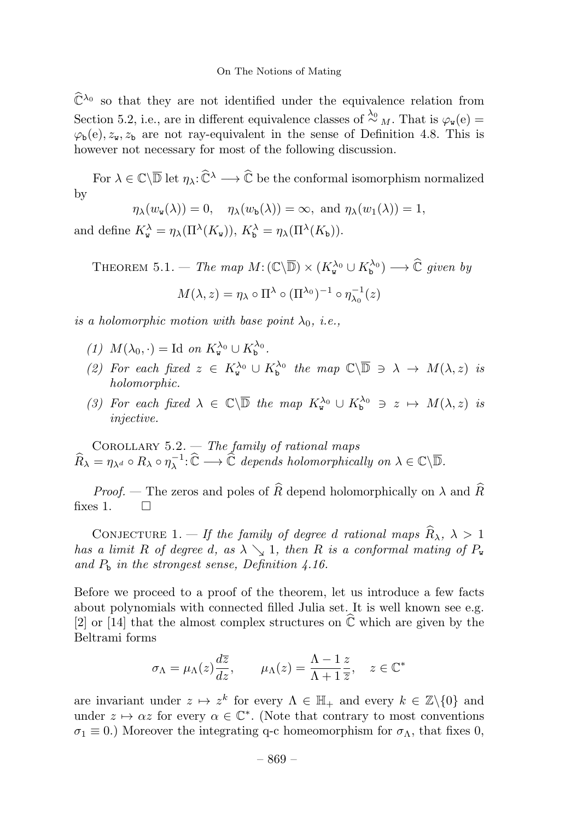$\widehat{\mathbb{C}}^{\lambda_0}$  so that they are not identified under the equivalence relation from Section 5.2, i.e., are in different equivalence classes of  $\frac{\lambda_0}{\lambda}$  M. That is  $\varphi_w(e)$  =  $\varphi_{b}(e), z_{w}, z_{b}$  are not ray-equivalent in the sense of Definition 4.8. This is however not necessary for most of the following discussion.

For  $\lambda \in \mathbb{C}\backslash\overline{\mathbb{D}}$  let  $\eta_{\lambda}:\widehat{\mathbb{C}}^{\lambda}\longrightarrow \widehat{\mathbb{C}}$  be the conformal isomorphism normalized by

$$
\eta_{\lambda}(w_{\mathbf{w}}(\lambda)) = 0, \quad \eta_{\lambda}(w_{\mathbf{b}}(\lambda)) = \infty, \text{ and } \eta_{\lambda}(w_{1}(\lambda)) = 1,
$$

and define  $K_{\mathbf{w}}^{\lambda} = \eta_{\lambda}(\Pi^{\lambda}(K_{\mathbf{w}})), K_{\mathbf{b}}^{\lambda} = \eta_{\lambda}(\Pi^{\lambda}(K_{\mathbf{b}})).$ 

THEOREM 5.1. — The map  $M: (\mathbb{C}\backslash\overline{\mathbb{D}}) \times (K^{\lambda_0}_{\mathtt{w}} \cup K^{\lambda_0}_{\mathtt{b}}) \longrightarrow \widehat{\mathbb{C}}$  given by  $M(\lambda, z) = \eta_{\lambda} \circ \Pi^{\lambda} \circ (\Pi^{\lambda_0})^{-1} \circ \eta_{\lambda_0}^{-1}(z)$ 

is a holomorphic motion with base point  $\lambda_0$ , i.e.,

- (1)  $M(\lambda_0, \cdot) = \text{Id}$  on  $K_{\mathbf{w}}^{\lambda_0} \cup K_{\mathbf{b}}^{\lambda_0}$ .
- (2) For each fixed  $z \in K_{\mathbf{w}}^{\lambda_0} \cup K_{\mathbf{b}}^{\lambda_0}$  the map  $\mathbb{C}\backslash\overline{\mathbb{D}} \ni \lambda \to M(\lambda, z)$  is holomorphic.
- (3) For each fixed  $\lambda \in \mathbb{C}\backslash \overline{\mathbb{D}}$  the map  $K_{\mathbf{w}}^{\lambda_0} \cup K_{\mathbf{b}}^{\lambda_0} \ni z \mapsto M(\lambda, z)$  is injective.

COROLLARY  $5.2.$  — The family of rational maps  $\widehat{R}_{\lambda} = \eta_{\lambda^d} \circ R_{\lambda} \circ \eta_{\lambda}^{-1} : \widehat{\mathbb{C}} \longrightarrow \widehat{\mathbb{C}}$  depends holomorphically on  $\lambda \in \mathbb{C} \backslash \overline{\mathbb{D}}$ .

*Proof.* — The zeros and poles of  $\widehat{R}$  depend holomorphically on  $\lambda$  and  $\widehat{R}$  is 1. fixes  $1$ .

CONJECTURE 1. — If the family of degree d rational maps  $\widehat{R}_{\lambda}$ ,  $\lambda > 1$ has a limit R of degree d, as  $\lambda \searrow 1$ , then R is a conformal mating of  $P_w$ and  $P_b$  in the strongest sense, Definition 4.16.

Before we proceed to a proof of the theorem, let us introduce a few facts about polynomials with connected filled Julia set. It is well known see e.g. [2] or [14] that the almost complex structures on  $\hat{\mathbb{C}}$  which are given by the Beltrami forms

$$
\sigma_{\Lambda} = \mu_{\Lambda}(z) \frac{d\overline{z}}{dz}, \qquad \mu_{\Lambda}(z) = \frac{\Lambda - 1}{\Lambda + 1} \frac{z}{\overline{z}}, \quad z \in \mathbb{C}^*
$$

are invariant under  $z \mapsto z^k$  for every  $\Lambda \in \mathbb{H}_+$  and every  $k \in \mathbb{Z}\backslash\{0\}$  and under  $z \mapsto \alpha z$  for every  $\alpha \in \mathbb{C}^*$ . (Note that contrary to most conventions  $\sigma_1 \equiv 0$ .) Moreover the integrating q-c homeomorphism for  $\sigma_\Lambda$ , that fixes 0,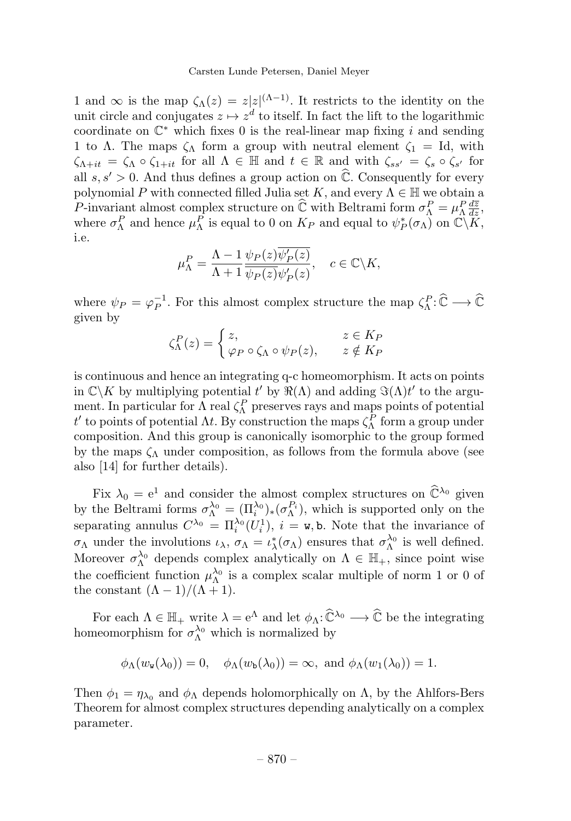1 and  $\infty$  is the map  $\zeta_{\Lambda}(z) = z|z|^{(\Lambda-1)}$ . It restricts to the identity on the unit circle and conjugates  $z \mapsto z^d$  to itself. In fact the lift to the logarithmic coordinate on  $\mathbb{C}^*$  which fixes 0 is the real-linear map fixing i and sending 1 to Λ. The maps  $\zeta_{\Lambda}$  form a group with neutral element  $\zeta_1 = \text{Id}$ , with  $\zeta_{\Lambda+it} = \zeta_{\Lambda} \circ \zeta_{1+it}$  for all  $\Lambda \in \mathbb{H}$  and  $t \in \mathbb{R}$  and with  $\zeta_{ss'} = \zeta_s \circ \zeta_{s'}$  for all  $s, s' > 0$ . And thus defines a group action on  $\widehat{\mathbb{C}}$ . Consequently for every polynomial P with connected filled Julia set K, and every  $\Lambda \in \mathbb{H}$  we obtain a P-invariant almost complex structure on  $\hat{\mathbb{C}}$  with Beltrami form  $\sigma_{\Lambda}^P = \mu_{\Lambda}^P \frac{d\overline{z}}{dz}$ , where  $\sigma_{\Lambda}^P$  and hence  $\mu_{\Lambda}^P$  is equal to 0 on  $K_P$  and equal to  $\psi_P^*(\sigma_{\Lambda})$  on  $\mathbb{C}\backslash\widetilde{K}$ , i.e.

$$
\mu_{\Lambda}^{P} = \frac{\Lambda - 1}{\Lambda + 1} \frac{\psi_{P}(z) \overline{\psi_{P}'(z)}}{\psi_{P}(z) \psi_{P}'(z)}, \quad c \in \mathbb{C} \backslash K,
$$

where  $\psi_P = \varphi_P^{-1}$ . For this almost complex structure the map  $\zeta^P_\Lambda : \widehat{\mathbb{C}} \longrightarrow \widehat{\mathbb{C}}$ given by

$$
\zeta^P_{\Lambda}(z) = \begin{cases} z, & z \in K_P \\ \varphi_P \circ \zeta_{\Lambda} \circ \psi_P(z), & z \notin K_P \end{cases}
$$

is continuous and hence an integrating q-c homeomorphism. It acts on points in  $\mathbb{C}\backslash K$  by multiplying potential  $t'$  by  $\Re(\Lambda)$  and adding  $\Im(\Lambda)t'$  to the argument. In particular for  $\Lambda$  real  $\zeta_{\Lambda}^{P}$  preserves rays and maps points of potential  $t'$  to points of potential  $\Lambda t$ . By construction the maps  $\zeta_{\Lambda}^P$  form a group under composition. And this group is canonically isomorphic to the group formed by the maps  $\zeta_{\Lambda}$  under composition, as follows from the formula above (see also [14] for further details).

Fix  $\lambda_0 = e^1$  and consider the almost complex structures on  $\hat{\mathbb{C}}^{\lambda_0}$  given by the Beltrami forms  $\sigma_{\Lambda}^{\lambda_0} = (\Pi_i^{\lambda_0})_*(\sigma_{\Lambda}^{P_i})$ , which is supported only on the separating annulus  $C^{\lambda_0} = \prod_i^{\lambda_0} (U_i^1), i = \mathbf{w}, \mathbf{b}$ . Note that the invariance of  $\sigma_{\Lambda}$  under the involutions  $\iota_{\lambda}, \sigma_{\Lambda} = \iota_{\lambda}^*(\sigma_{\Lambda})$  ensures that  $\sigma_{\Lambda}^{\lambda_0}$  is well defined. Moreover  $\sigma_{\Lambda}^{\lambda_0}$  depends complex analytically on  $\Lambda \in \mathbb{H}_+$ , since point wise the coefficient function  $\mu_{\Lambda}^{\lambda_0}$  is a complex scalar multiple of norm 1 or 0 of the constant  $(\Lambda - 1)/(\Lambda + 1)$ .

For each  $\Lambda \in \mathbb{H}_+$  write  $\lambda = e^{\Lambda}$  and let  $\phi_{\Lambda}: \widehat{\mathbb{C}}^{\lambda_0} \longrightarrow \widehat{\mathbb{C}}$  be the integrating homeomorphism for  $\sigma_{\Lambda}^{\lambda_0}$  which is normalized by

$$
\phi_{\Lambda}(w_{\mathbf{w}}(\lambda_0)) = 0, \quad \phi_{\Lambda}(w_{\mathbf{b}}(\lambda_0)) = \infty, \text{ and } \phi_{\Lambda}(w_1(\lambda_0)) = 1.
$$

Then  $\phi_1 = \eta_{\lambda_0}$  and  $\phi_{\Lambda}$  depends holomorphically on  $\Lambda$ , by the Ahlfors-Bers Theorem for almost complex structures depending analytically on a complex parameter.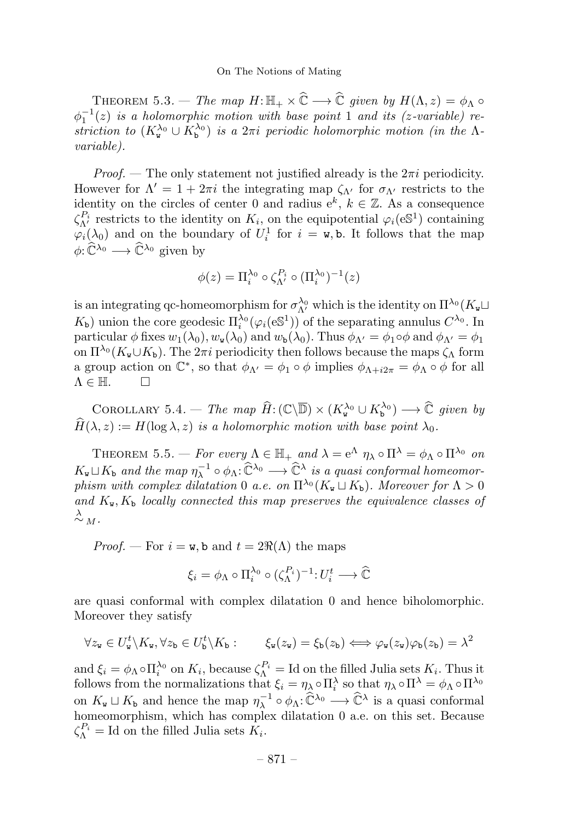THEOREM 5.3. — The map  $H: \mathbb{H}_+ \times \widehat{\mathbb{C}} \longrightarrow \widehat{\mathbb{C}}$  given by  $H(\Lambda, z) = \phi_{\Lambda} \circ$  $\phi_1^{-1}(z)$  is a holomorphic motion with base point 1 and its (z-variable) restriction to  $(K_{\mathbf{w}}^{\lambda_0} \cup K_{\mathbf{b}}^{\lambda_0})$  is a  $2\pi i$  periodic holomorphic motion (in the  $\Lambda$ variable).

*Proof.* — The only statement not justified already is the  $2\pi i$  periodicity. However for  $\Lambda' = 1 + 2\pi i$  the integrating map  $\zeta_{\Lambda'}$  for  $\sigma_{\Lambda'}$  restricts to the identity on the circles of center 0 and radius  $e^k$ ,  $k \in \mathbb{Z}$ . As a consequence  $\zeta_{\Lambda'}^{P_i}$  restricts to the identity on  $K_i$ , on the equipotential  $\varphi_i(\mathfrak{e} \mathbb{S}^1)$  containing  $\varphi_i(\lambda_0)$  and on the boundary of  $U_i^1$  for  $i = \mathbf{w}$ , b. It follows that the map  $\phi: \widehat{\mathbb{C}}^{\lambda_0} \longrightarrow \widehat{\mathbb{C}}^{\lambda_0}$  given by

$$
\phi(z) = \Pi_i^{\lambda_0} \circ \zeta_{\Lambda'}^{P_i} \circ (\Pi_i^{\lambda_0})^{-1}(z)
$$

is an integrating qc-homeomorphism for  $\sigma_{\Lambda'}^{\lambda_0}$  which is the identity on  $\Pi^{\lambda_0}(K_{\tt w}\square)$  $K_{\rm b}$ ) union the core geodesic  $\Pi_i^{\lambda_0}(\varphi_i(\mathfrak{S}^1))$  of the separating annulus  $C^{\lambda_0}$ . In particular  $\phi$  fixes  $w_1(\lambda_0), w_{\mathbf{w}}(\lambda_0)$  and  $w_{\mathbf{b}}(\lambda_0)$ . Thus  $\phi_{\Lambda'} = \phi_1 \circ \phi$  and  $\phi_{\Lambda'} = \phi_1$ on  $\Pi^{\lambda_0}(K_{\mathbf{w}}\cup K_{\mathbf{b}})$ . The  $2\pi i$  periodicity then follows because the maps  $\zeta_{\Lambda}$  form a group action on  $\mathbb{C}^*$ , so that  $\phi_{\Lambda'} = \phi_1 \circ \phi$  implies  $\phi_{\Lambda + i2\pi} = \phi_{\Lambda} \circ \phi$  for all  $\Lambda \in \mathbb{H}$ .

COROLLARY 5.4. — The map  $\widehat{H}$ :  $(\mathbb{C}\setminus \overline{\mathbb{D}}) \times (K^{\lambda_0}_{\mathbf{w}} \cup K^{\lambda_0}_{\mathbf{b}}) \longrightarrow \widehat{\mathbb{C}}$  given by  $\widehat{H}(\lambda, z) := H(\log \lambda, z)$  is a holomorphic motion with base point  $\lambda_0$ .

THEOREM 5.5. — For every  $\Lambda \in \mathbb{H}_+$  and  $\lambda = e^{\Lambda} \eta_{\lambda} \circ \Pi^{\lambda} = \phi_{\Lambda} \circ \Pi^{\lambda_0}$  on  $K_{\tt w}\sqcup K_{\tt b}$  and the map  $\eta_\lambda^{-1}\circ \phi_\Lambda\!:\! \widehat{\mathbb{C}}^{\lambda_0}\longrightarrow \widehat{\mathbb{C}}^\lambda$  is a quasi conformal homeomorphism with complex dilatation 0 a.e. on  $\Pi^{\lambda_0}(K_{\tt w} \sqcup K_{\tt b})$ . Moreover for  $\Lambda > 0$ and  $K_{\mathbf{w}}, K_{\mathbf{b}}$  locally connected this map preserves the equivalence classes of  $\stackrel{\lambda}{\sim}_M$ .

*Proof.* — For  $i = w$ , b and  $t = 2\Re(\Lambda)$  the maps

$$
\xi_i = \phi_\Lambda \circ \Pi_i^{\lambda_0} \circ (\zeta_\Lambda^{P_i})^{-1} : U_i^t \longrightarrow \widehat{\mathbb{C}}
$$

are quasi conformal with complex dilatation 0 and hence biholomorphic. Moreover they satisfy

$$
\forall z_{\mathbf{w}} \in U_{\mathbf{w}}^t \setminus K_{\mathbf{w}}, \forall z_{\mathbf{b}} \in U_{\mathbf{b}}^t \setminus K_{\mathbf{b}}: \qquad \xi_{\mathbf{w}}(z_{\mathbf{w}}) = \xi_{\mathbf{b}}(z_{\mathbf{b}}) \Longleftrightarrow \varphi_{\mathbf{w}}(z_{\mathbf{w}})\varphi_{\mathbf{b}}(z_{\mathbf{b}}) = \lambda^2
$$

and  $\xi_i = \phi_\Lambda \circ \Pi_i^{\lambda_0}$  on  $K_i$ , because  $\zeta_\Lambda^{P_i} =$  Id on the filled Julia sets  $K_i$ . Thus it follows from the normalizations that  $\xi_i = \eta_\lambda \circ \Pi_i^\lambda$  so that  $\eta_\lambda \circ \Pi^\lambda = \phi_\Lambda \circ \Pi^{\lambda_0}$ on  $K_{\mathbf{w}} \sqcup K_{\mathbf{b}}$  and hence the map  $\eta_{\lambda}^{-1} \circ \phi_{\Lambda} : \widehat{\mathbb{C}}^{\lambda_0} \longrightarrow \widehat{\mathbb{C}}^{\lambda}$  is a quasi conformal homeomorphism, which has complex dilatation  $0$  a.e. on this set. Because  $\zeta_{\Lambda}^{P_i} = \text{Id}$  on the filled Julia sets  $K_i$ .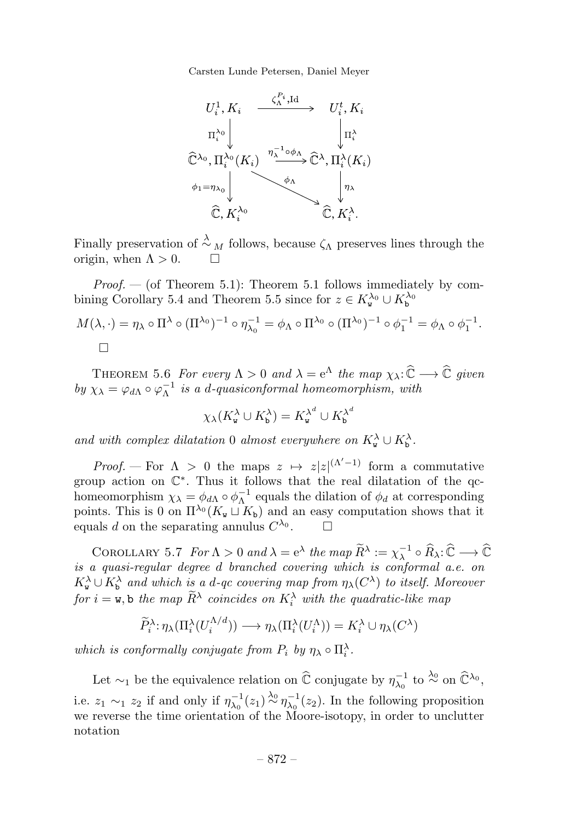

Finally preservation of  $\stackrel{\lambda}{\sim}_M$  follows, because  $\zeta_{\Lambda}$  preserves lines through the origin, when  $\Lambda > 0$ .  $\Box$ 

*Proof.*  $-$  (of Theorem 5.1): Theorem 5.1 follows immediately by combining Corollary 5.4 and Theorem 5.5 since for  $z \in K_{\mathbf{w}}^{\lambda_0} \cup K_{\mathbf{b}}^{\lambda_0}$ 

$$
M(\lambda, \cdot) = \eta_{\lambda} \circ \Pi^{\lambda} \circ (\Pi^{\lambda_0})^{-1} \circ \eta_{\lambda_0}^{-1} = \phi_{\Lambda} \circ \Pi^{\lambda_0} \circ (\Pi^{\lambda_0})^{-1} \circ \phi_1^{-1} = \phi_{\Lambda} \circ \phi_1^{-1}.
$$

THEOREM 5.6 For every  $\Lambda > 0$  and  $\lambda = e^{\Lambda}$  the map  $\chi_{\lambda} : \hat{\mathbb{C}} \longrightarrow \hat{\mathbb{C}}$  given by  $\chi_{\lambda} = \varphi_{d\Lambda} \circ \varphi_{\Lambda}^{-1}$  is a d-quasiconformal homeomorphism, with

$$
\chi_{\lambda}(K_{\mathbf{w}}^{\lambda} \cup K_{\mathbf{b}}^{\lambda}) = K_{\mathbf{w}}^{\lambda^{d}} \cup K_{\mathbf{b}}^{\lambda^{d}}
$$

and with complex dilatation 0 almost everywhere on  $K^{\lambda}_{\mathbf{w}} \cup K^{\lambda}_{\mathbf{b}}$ .

*Proof.* – For  $\Lambda > 0$  the maps  $z \mapsto z|z|^{(\Lambda'-1)}$  form a commutative group action on C∗. Thus it follows that the real dilatation of the qchomeomorphism  $\chi_{\lambda} = \phi_{d\Lambda} \circ \phi_{\Lambda}^{-1}$  equals the dilation of  $\phi_d$  at corresponding points. This is 0 on  $\Pi^{\lambda_0}(K_{\tt w}\sqcup K_{\tt b})$  and an easy computation shows that it equals d on the separating annulus  $C^{\lambda_0}$ .

COROLLARY 5.7 For  $\Lambda > 0$  and  $\lambda = e^{\lambda}$  the map  $\widetilde{R}^{\lambda} := \chi_{\lambda}^{-1} \circ \widehat{R}_{\lambda} : \widehat{\mathbb{C}} \longrightarrow \widehat{\mathbb{C}}$ is a quasi-regular degree d branched covering which is conformal a.e. on  $K^{\lambda}_{\mathbf{w}} \cup K^{\lambda}_{\mathbf{b}}$  and which is a d-qc covering map from  $\eta_{\lambda}(C^{\lambda})$  to itself. Moreover for  $i = \mathbf{w}$ , b the map  $\widetilde{R}^{\lambda}$  coincides on  $K_i^{\lambda}$  with the quadratic-like map

$$
\widetilde{P}_i^{\lambda} : \eta_{\lambda}(\Pi_i^{\lambda}(U_i^{\Lambda/d})) \longrightarrow \eta_{\lambda}(\Pi_i^{\lambda}(U_i^{\Lambda})) = K_i^{\lambda} \cup \eta_{\lambda}(C^{\lambda})
$$

which is conformally conjugate from  $P_i$  by  $\eta_\lambda \circ \Pi_i^\lambda$ .

Let  $\sim_1$  be the equivalence relation on  $\widehat{\mathbb{C}}$  conjugate by  $\eta_{\lambda_0}^{-1}$  to  $\stackrel{\lambda_0}{\sim}$  on  $\widehat{\mathbb{C}}^{\lambda_0}$ , i.e.  $z_1 \sim_1 z_2$  if and only if  $\eta_{\lambda_0}^{-1}(z_1) \stackrel{\lambda_0}{\sim} \eta_{\lambda_0}^{-1}(z_2)$ . In the following proposition we reverse the time orientation of the Moore-isotopy, in order to unclutter notation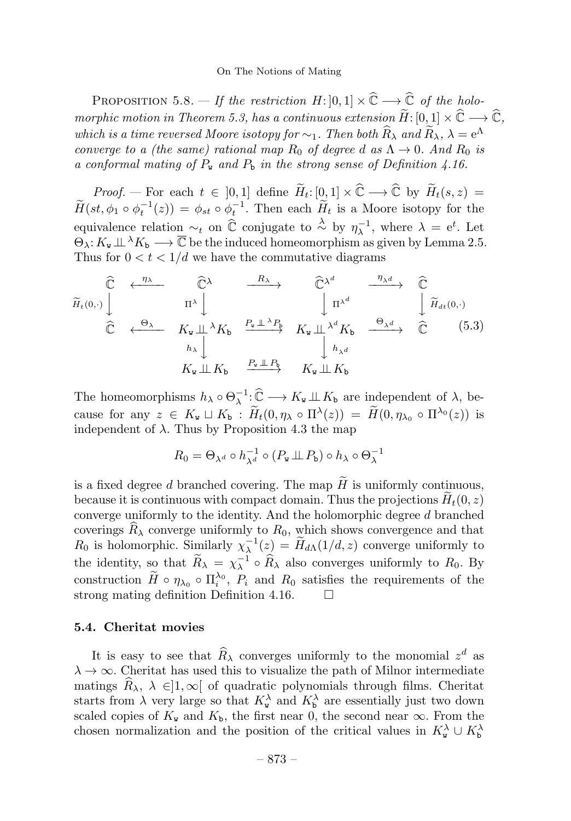PROPOSITION 5.8. — If the restriction  $H: [0,1] \times \widehat{\mathbb{C}} \longrightarrow \widehat{\mathbb{C}}$  of the holomorphic motion in Theorem 5.3, has a continuous extension  $\widetilde{H}$ : [0, 1]  $\times \widehat{\mathbb{C}} \longrightarrow \widehat{\mathbb{C}}$ , which is a time reversed Moore isotopy for  $\sim_1$ . Then both  $\widehat{R}_{\lambda}$  and  $\widetilde{R}_{\lambda}$ ,  $\lambda = e^{\Lambda}$ converge to a (the same) rational map  $R_0$  of degree d as  $\Lambda \rightarrow 0$ . And  $R_0$  is a conformal mating of  $P_w$  and  $P_b$  in the strong sense of Definition 4.16.

*Proof.* – For each  $t \in [0,1]$  define  $\widetilde{H}_t: [0,1] \times \widehat{\mathbb{C}} \longrightarrow \widehat{\mathbb{C}}$  by  $\widetilde{H}_t(s,z) =$  $\widetilde{H}(st, \phi_1 \circ \phi_t^{-1}(z)) = \phi_{st} \circ \phi_t^{-1}$ . Then each  $\widetilde{H}_t$  is a Moore isotopy for the equivalence relation  $\sim_t$  on  $\hat{\mathbb{C}}$  conjugate to  $\stackrel{\lambda}{\sim}$  by  $\eta_{\lambda}^{-1}$ , where  $\lambda = e^t$ . Let  $\Theta_{\lambda}: K_{\mathbf{w}}\perp \Lambda_{\mathbf{w}} \longrightarrow \overline{\mathbb{C}}$  be the induced homeomorphism as given by Lemma 2.5. Thus for  $0 < t < 1/d$  we have the commutative diagrams

$$
\widetilde{H}_{t}(0,\cdot) \downarrow \qquad \qquad \widetilde{\mathbb{C}} \leftarrow \begin{array}{c} \eta_{\lambda} & \widehat{\mathbb{C}}^{\lambda} \\ \uparrow & \eta_{\lambda} d \\ \vdots & \vdots \\ \widehat{\mathbb{C}} & \leftarrow \Theta_{\lambda} \\ \hline \lambda & K_{\mathbf{w}} \perp \lambda K_{\mathbf{b}} \\ h_{\lambda} \downarrow \end{array} \begin{array}{c} R_{\lambda} \\ \downarrow & \downarrow \\ \vdots \\ R_{\mathbf{w}} \perp \Delta R_{\mathbf{b}} \\ \hline \lambda \end{array} \begin{array}{c} R_{\lambda} \\ \downarrow & \downarrow \\ \vdots \\ R_{\mathbf{w}} \perp \Delta K_{\mathbf{b}} \\ \hline \lambda d \\ h_{\lambda} d \\ \hline \lambda d \end{array} \begin{array}{c} \widehat{\mathbb{C}} \\ \downarrow & \downarrow \\ \widehat{\mathbb{C}} \\ \hline \lambda d \\ \hline \lambda d \\ \hline \lambda d \end{array} \begin{array}{c} \widehat{\mathbb{C}} \\ \widehat{\mathbb{C}} \\ \downarrow & \downarrow \\ \widehat{\mathbb{C}} \end{array} \begin{array}{c} (5.3) \\ \widehat{\mathbb{C}} \end{array}
$$

The homeomorphisms  $h_{\lambda} \circ \Theta_{\lambda}^{-1} : \widehat{\mathbb{C}} \longrightarrow K_{\mathbf{w}} \perp \mathbb{L} K_{\mathbf{b}}$  are independent of  $\lambda$ , because for any  $z \in K_{\mathbf{w}} \sqcup K_{\mathbf{b}} : \widetilde{H}_t(0, \eta_\lambda \circ \Pi^\lambda(z)) = \widetilde{H}(0, \eta_{\lambda_0} \circ \Pi^{\lambda_0}(z))$  is independent of  $\lambda$ . Thus by Proposition 4.3 the map

$$
R_0 = \Theta_{\lambda^d} \circ h_{\lambda^d}^{-1} \circ (P_{\mathbf{w}} \perp \!\!\! \perp P_{\mathbf{b}}) \circ h_{\lambda} \circ \Theta_{\lambda}^{-1}
$$

is a fixed degree d branched covering. The map  $H$  is uniformly continuous, because it is continuous with compact domain. Thus the projections  $H_t(0, z)$ converge uniformly to the identity. And the holomorphic degree d branched coverings  $R_{\lambda}$  converge uniformly to  $R_0$ , which shows convergence and that  $R_0$  is holomorphic. Similarly  $\chi_\lambda^{-1}(z) = \widetilde{H}_{d\Lambda}(1/d, z)$  converge uniformly to the identity, so that  $\widetilde{R}_{\lambda} = \chi_{\lambda}^{-1} \circ \widehat{R}_{\lambda}$  also converges uniformly to  $R_0$ . By construction  $\widetilde{H} \circ \eta_{\lambda_0} \circ \Pi_i^{\lambda_0}$ ,  $P_i$  and  $R_0$  satisfies the requirements of the strong mating definition Definition 4.16.

# 5.4. Cheritat movies

It is easy to see that  $\widehat{R}_{\lambda}$  converges uniformly to the monomial  $z^d$  as  $\lambda \to \infty$ . Cheritat has used this to visualize the path of Milnor intermediate matings  $\widehat{R}_{\lambda}, \lambda \in ]1,\infty[$  of quadratic polynomials through films. Cheritat starts from  $\lambda$  very large so that  $K_{\mathbf{w}}^{\lambda}$  and  $K_{\mathbf{b}}^{\lambda}$  are essentially just two down scaled copies of  $K_{w}$  and  $K_{b}$ , the first near 0, the second near  $\infty$ . From the chosen normalization and the position of the critical values in  $K_w^{\lambda} \cup K_{\mathfrak{b}}^{\lambda}$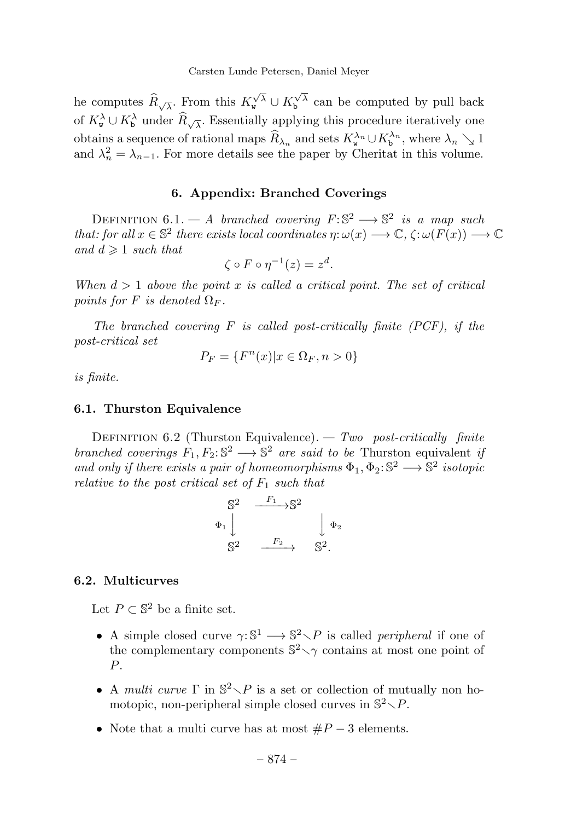he computes  $\widehat{R}_{\sqrt{\lambda}}$ . From this  $K_{\mathbf{v}}^{\sqrt{\lambda}} \cup K_{\mathbf{b}}^{\sqrt{\lambda}}$  can be computed by pull back of  $K_{\mathbf{w}}^{\lambda} \cup K_{\mathbf{b}}^{\lambda}$  under  $\widehat{R}_{\sqrt{\lambda}}$ . Essentially applying this procedure iteratively one obtains a sequence of rational maps  $\widehat{R}_{\lambda_n}$  and sets  $K^{\lambda_n}_{\mathbf{w}} \cup K^{\lambda_n}_{\mathbf{b}}$ , where  $\lambda_n \searrow 1$ and  $\lambda_n^2 = \lambda_{n-1}$ . For more details see the paper by Cheritat in this volume.

# 6. Appendix: Branched Coverings

DEFINITION 6.1. — A branched covering  $F: \mathbb{S}^2 \longrightarrow \mathbb{S}^2$  is a map such that: for all  $x \in \mathbb{S}^2$  there exists local coordinates  $\eta: \omega(x) \longrightarrow \mathbb{C}, \zeta: \omega(F(x)) \longrightarrow \mathbb{C}$ and  $d \geqslant 1$  such that

$$
\zeta \circ F \circ \eta^{-1}(z) = z^d.
$$

When  $d > 1$  above the point x is called a critical point. The set of critical points for F is denoted  $\Omega_F$ .

The branched covering  $F$  is called post-critically finite (PCF), if the post-critical set

$$
P_F = \{F^n(x) | x \in \Omega_F, n > 0\}
$$

is finite.

#### 6.1. Thurston Equivalence

DEFINITION 6.2 (Thurston Equivalence). — Two post-critically finite branched coverings  $F_1, F_2$ :  $\mathbb{S}^2 \longrightarrow \mathbb{S}^2$  are said to be Thurston equivalent if and only if there exists a pair of homeomorphisms  $\Phi_1, \Phi_2$ :  $\mathbb{S}^2 \longrightarrow \mathbb{S}^2$  isotopic relative to the post critical set of  $F_1$  such that

$$
\begin{array}{ccc}\nS^2 & \xrightarrow{F_1} S^2 \\
\Phi_1 \downarrow & & \downarrow \Phi_2 \\
S^2 & \xrightarrow{F_2} & S^2.\n\end{array}
$$

# 6.2. Multicurves

Let  $P \subset \mathbb{S}^2$  be a finite set.

- A simple closed curve  $\gamma: \mathbb{S}^1 \longrightarrow \mathbb{S}^2 \setminus P$  is called *peripheral* if one of the complementary components  $\mathbb{S}^2 \setminus \gamma$  contains at most one point of P.
- A multi curve  $\Gamma$  in  $\mathbb{S}^2 \setminus P$  is a set or collection of mutually non homotopic, non-peripheral simple closed curves in  $\mathbb{S}^2 \setminus P$ .
- Note that a multi curve has at most  $\#P-3$  elements.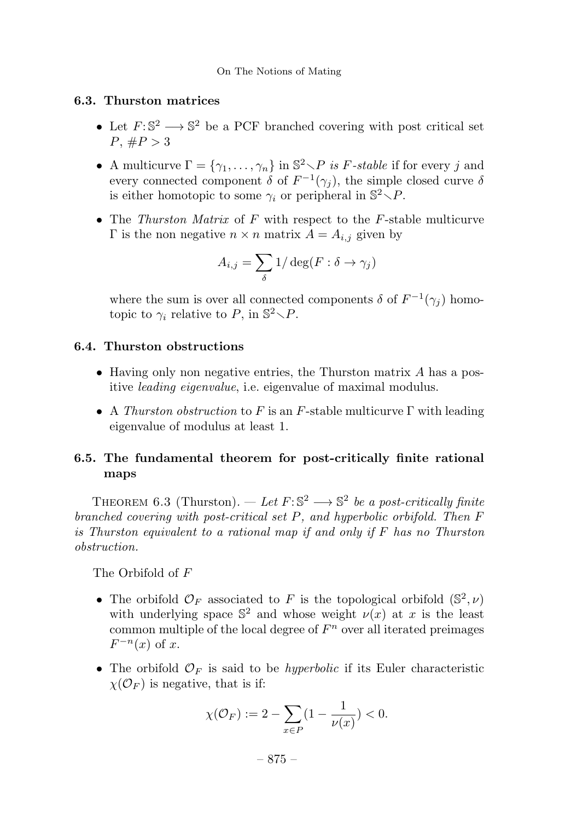# 6.3. Thurston matrices

- Let  $F: \mathbb{S}^2 \longrightarrow \mathbb{S}^2$  be a PCF branched covering with post critical set  $P, \#P > 3$
- A multicurve  $\Gamma = \{\gamma_1, \ldots, \gamma_n\}$  in  $\mathbb{S}^2 \setminus P$  is F-stable if for every j and every connected component  $\delta$  of  $F^{-1}(\gamma_i)$ , the simple closed curve  $\delta$ is either homotopic to some  $\gamma_i$  or peripheral in  $\mathbb{S}^2 \setminus P$ .
- The Thurston Matrix of  $F$  with respect to the  $F$ -stable multicurve Γ is the non negative  $n \times n$  matrix  $A = A_{i,j}$  given by

$$
A_{i,j} = \sum_{\delta} 1/\deg(F : \delta \to \gamma_j)
$$

where the sum is over all connected components  $\delta$  of  $F^{-1}(\gamma_i)$  homotopic to  $\gamma_i$  relative to P, in  $\mathbb{S}^2 \setminus P$ .

# 6.4. Thurston obstructions

- Having only non negative entries, the Thurston matrix  $A$  has a positive *leading eigenvalue*, i.e. eigenvalue of maximal modulus.
- A Thurston obstruction to F is an F-stable multicurve  $\Gamma$  with leading eigenvalue of modulus at least 1.

# 6.5. The fundamental theorem for post-critically finite rational maps

THEOREM 6.3 (Thurston). — Let  $F: \mathbb{S}^2 \longrightarrow \mathbb{S}^2$  be a post-critically finite branched covering with post-critical set P, and hyperbolic orbifold. Then F is Thurston equivalent to a rational map if and only if F has no Thurston obstruction.

The Orbifold of F

- The orbifold  $\mathcal{O}_F$  associated to F is the topological orbifold  $(\mathbb{S}^2,\nu)$ with underlying space  $\mathbb{S}^2$  and whose weight  $\nu(x)$  at x is the least common multiple of the local degree of  $F<sup>n</sup>$  over all iterated preimages  $F^{-n}(x)$  of x.
- The orbifold  $\mathcal{O}_F$  is said to be *hyperbolic* if its Euler characteristic  $\chi(\mathcal{O}_F)$  is negative, that is if:

$$
\chi(\mathcal{O}_F) := 2 - \sum_{x \in P} (1 - \frac{1}{\nu(x)}) < 0.
$$

– 875 –